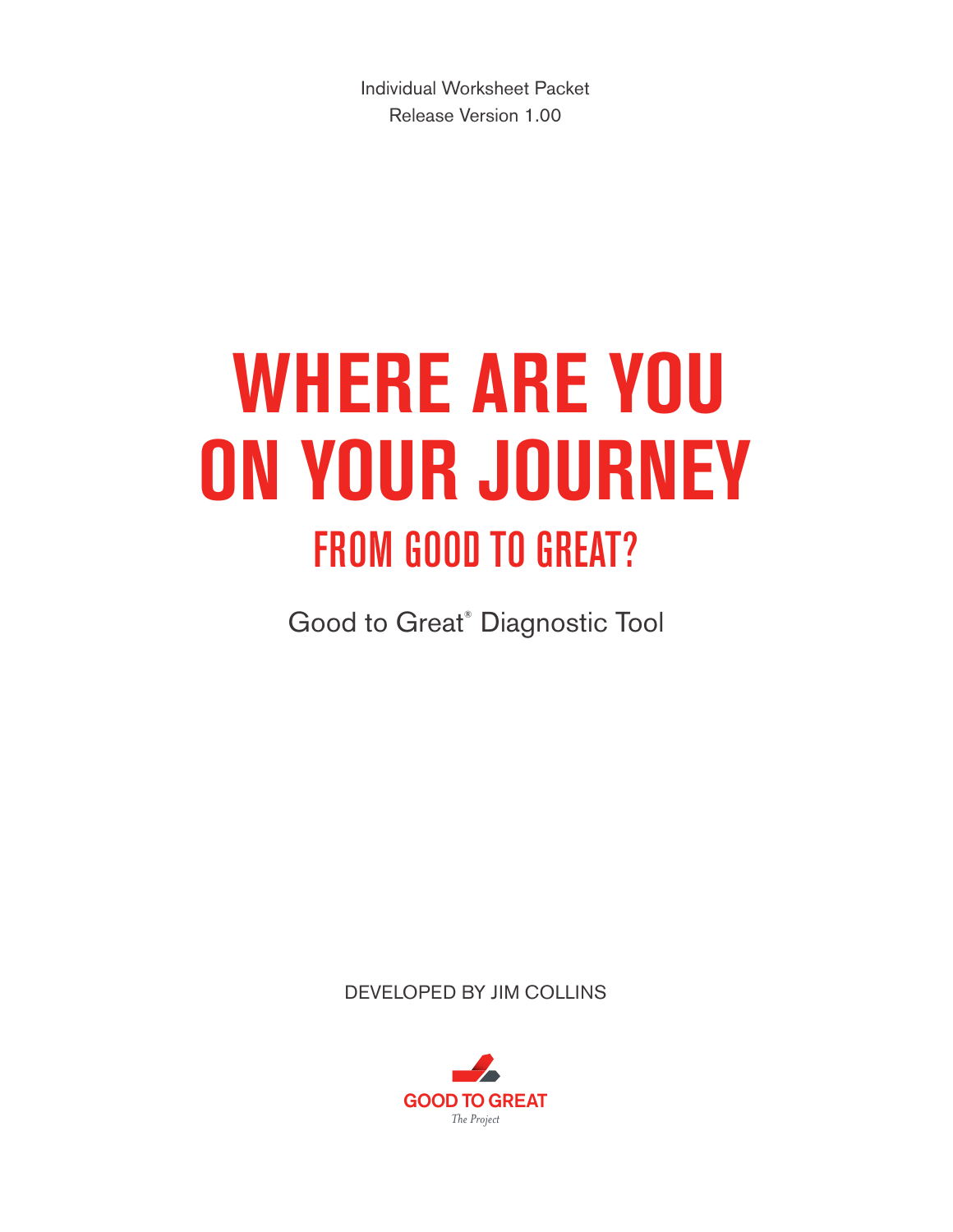Individual Worksheet Packet Release Version 1.00

# **WHERE ARE YOU ON YOUR JOURNEY** FROM GOOD TO GREAT?

Good to Great® Diagnostic Tool

DEVELOPED BY JIM COLLINS

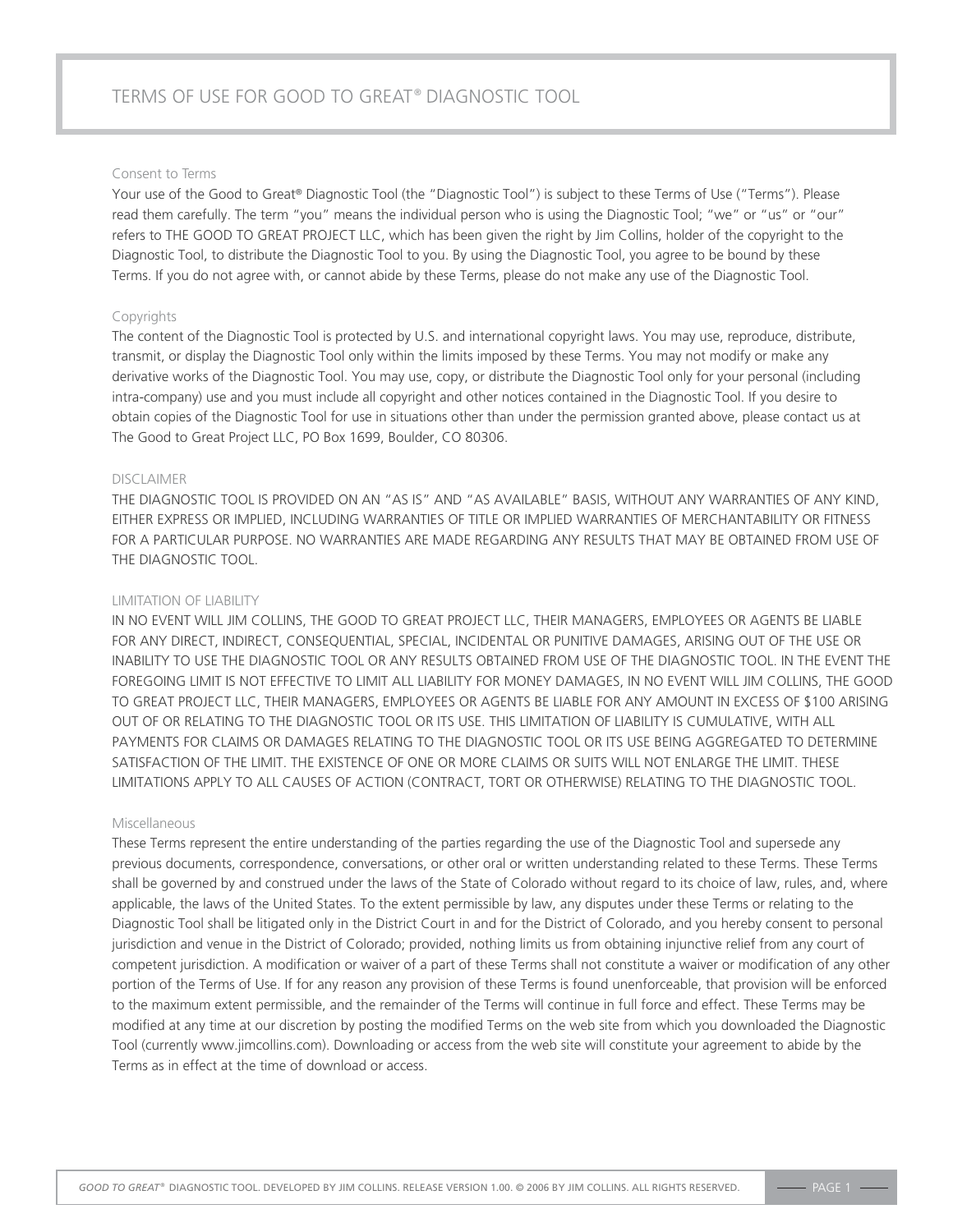#### Consent to Terms

Your use of the Good to Great® Diagnostic Tool (the "Diagnostic Tool") is subject to these Terms of Use ("Terms"). Please read them carefully. The term "you" means the individual person who is using the Diagnostic Tool; "we" or "us" or "our" refers to THE GOOD TO GREAT PROJECT LLC, which has been given the right by Jim Collins, holder of the copyright to the Diagnostic Tool, to distribute the Diagnostic Tool to you. By using the Diagnostic Tool, you agree to be bound by these Terms. If you do not agree with, or cannot abide by these Terms, please do not make any use of the Diagnostic Tool.

## Copyrights

The content of the Diagnostic Tool is protected by U.S. and international copyright laws. You may use, reproduce, distribute, transmit, or display the Diagnostic Tool only within the limits imposed by these Terms. You may not modify or make any derivative works of the Diagnostic Tool. You may use, copy, or distribute the Diagnostic Tool only for your personal (including intra-company) use and you must include all copyright and other notices contained in the Diagnostic Tool. If you desire to obtain copies of the Diagnostic Tool for use in situations other than under the permission granted above, please contact us at The Good to Great Project LLC, PO Box 1699, Boulder, CO 80306.

#### DISCLAIMER

THE DIAGNOSTIC TOOL IS PROVIDED ON AN "AS IS" AND "AS AVAILABLE" BASIS, WITHOUT ANY WARRANTIES OF ANY KIND, EITHER EXPRESS OR IMPLIED, INCLUDING WARRANTIES OF TITLE OR IMPLIED WARRANTIES OF MERCHANTABILITY OR FITNESS FOR A PARTICULAR PURPOSE. NO WARRANTIES ARE MADE REGARDING ANY RESULTS THAT MAY BE OBTAINED FROM USE OF THE DIAGNOSTIC TOOL.

#### LIMITATION OF LIABILITY

IN NO EVENT WILL JIM COLLINS, THE GOOD TO GREAT PROJECT LLC, THEIR MANAGERS, EMPLOYEES OR AGENTS BE LIABLE FOR ANY DIRECT, INDIRECT, CONSEQUENTIAL, SPECIAL, INCIDENTAL OR PUNITIVE DAMAGES, ARISING OUT OF THE USE OR INABILITY TO USE THE DIAGNOSTIC TOOL OR ANY RESULTS OBTAINED FROM USE OF THE DIAGNOSTIC TOOL. IN THE EVENT THE FOREGOING LIMIT IS NOT EFFECTIVE TO LIMIT ALL LIABILITY FOR MONEY DAMAGES, IN NO EVENT WILL JIM COLLINS, THE GOOD TO GREAT PROJECT LLC, THEIR MANAGERS, EMPLOYEES OR AGENTS BE LIABLE FOR ANY AMOUNT IN EXCESS OF \$100 ARISING OUT OF OR RELATING TO THE DIAGNOSTIC TOOL OR ITS USE. THIS LIMITATION OF LIABILITY IS CUMULATIVE, WITH ALL PAYMENTS FOR CLAIMS OR DAMAGES RELATING TO THE DIAGNOSTIC TOOL OR ITS USE BEING AGGREGATED TO DETERMINE SATISFACTION OF THE LIMIT. THE EXISTENCE OF ONE OR MORE CLAIMS OR SUITS WILL NOT ENLARGE THE LIMIT. THESE LIMITATIONS APPLY TO ALL CAUSES OF ACTION (CONTRACT, TORT OR OTHERWISE) RELATING TO THE DIAGNOSTIC TOOL.

#### Miscellaneous

These Terms represent the entire understanding of the parties regarding the use of the Diagnostic Tool and supersede any previous documents, correspondence, conversations, or other oral or written understanding related to these Terms. These Terms shall be governed by and construed under the laws of the State of Colorado without regard to its choice of law, rules, and, where applicable, the laws of the United States. To the extent permissible by law, any disputes under these Terms or relating to the Diagnostic Tool shall be litigated only in the District Court in and for the District of Colorado, and you hereby consent to personal jurisdiction and venue in the District of Colorado; provided, nothing limits us from obtaining injunctive relief from any court of competent jurisdiction. A modification or waiver of a part of these Terms shall not constitute a waiver or modification of any other portion of the Terms of Use. If for any reason any provision of these Terms is found unenforceable, that provision will be enforced to the maximum extent permissible, and the remainder of the Terms will continue in full force and effect. These Terms may be modified at any time at our discretion by posting the modified Terms on the web site from which you downloaded the Diagnostic Tool (currently www.jimcollins.com). Downloading or access from the web site will constitute your agreement to abide by the Terms as in effect at the time of download or access.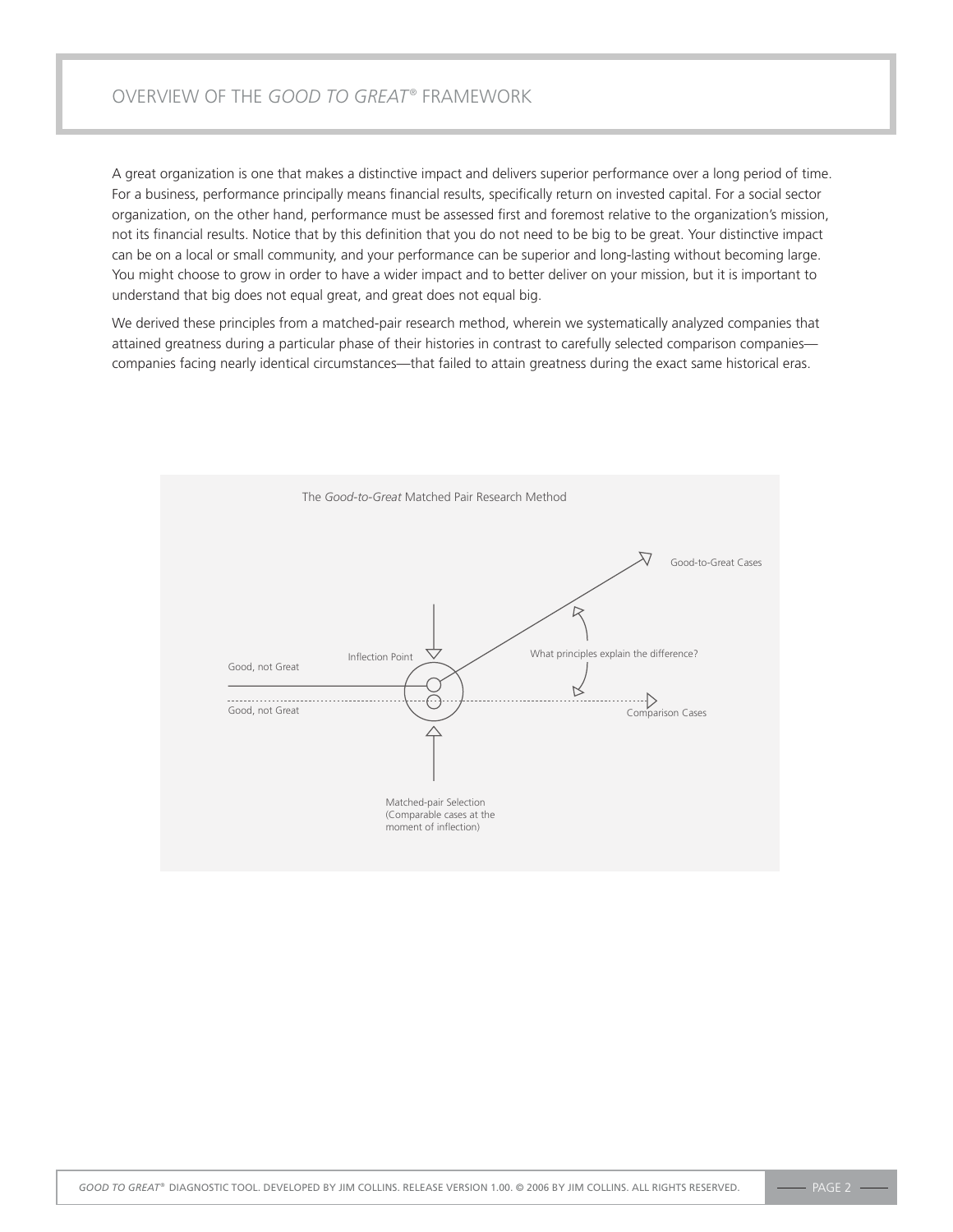A great organization is one that makes a distinctive impact and delivers superior performance over a long period of time. For a business, performance principally means financial results, specifically return on invested capital. For a social sector organization, on the other hand, performance must be assessed first and foremost relative to the organization's mission, not its financial results. Notice that by this definition that you do not need to be big to be great. Your distinctive impact can be on a local or small community, and your performance can be superior and long-lasting without becoming large. You might choose to grow in order to have a wider impact and to better deliver on your mission, but it is important to understand that big does not equal great, and great does not equal big.

We derived these principles from a matched-pair research method, wherein we systematically analyzed companies that attained greatness during a particular phase of their histories in contrast to carefully selected comparison companies companies facing nearly identical circumstances—that failed to attain greatness during the exact same historical eras.

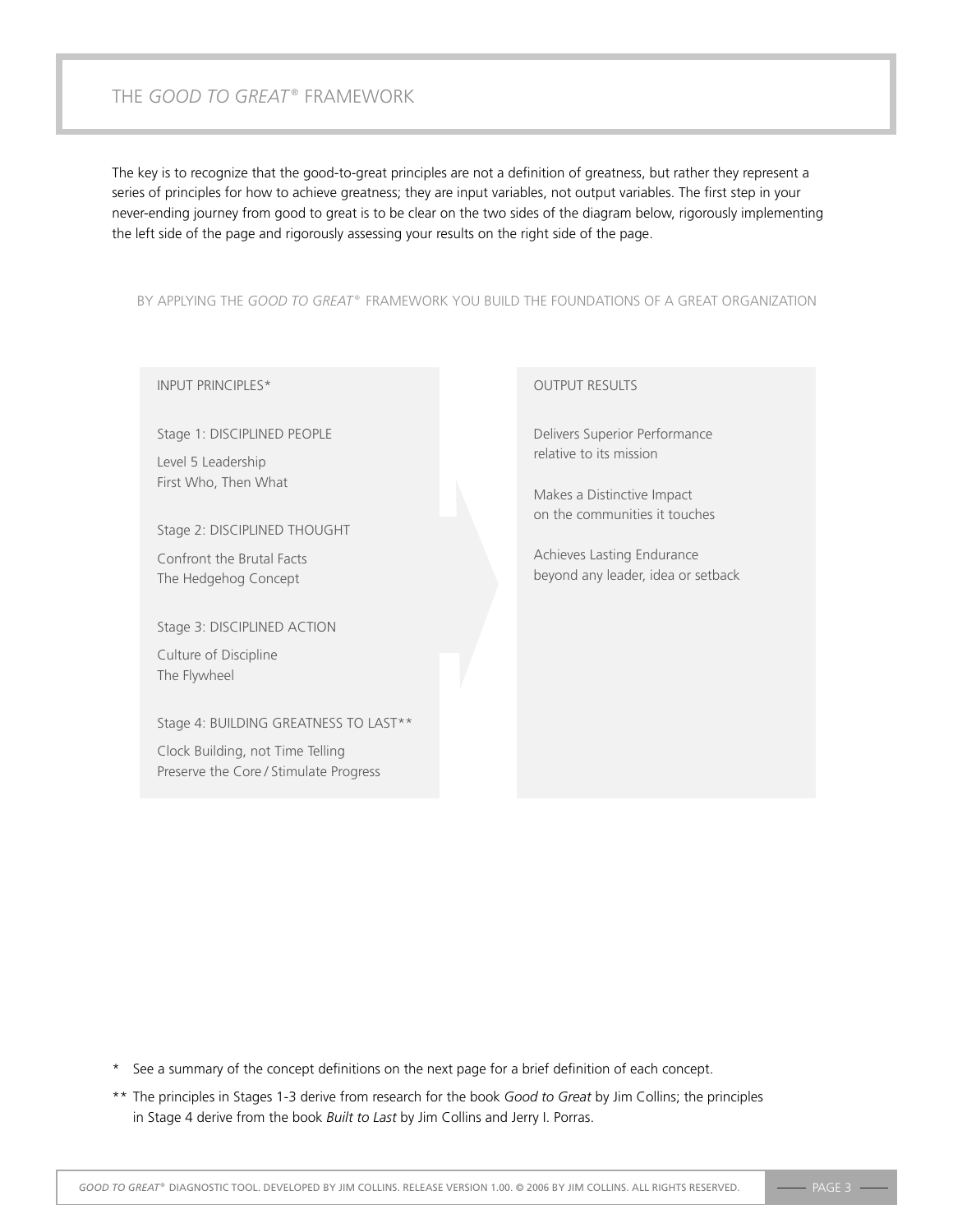## THE *GOOD TO GREAT®* FRAMEWORK

The key is to recognize that the good-to-great principles are not a definition of greatness, but rather they represent a series of principles for how to achieve greatness; they are input variables, not output variables. The first step in your never-ending journey from good to great is to be clear on the two sides of the diagram below, rigorously implementing the left side of the page and rigorously assessing your results on the right side of the page.

## BY APPLYING THE GOOD TO GREAT<sup>®</sup> FRAMEWORK YOU BUILD THE FOUNDATIONS OF A GREAT ORGANIZATION

### INPUT PRINCIPLES\*

Stage 1: DISCIPLINED PEOPLE

Level 5 Leadership First Who, Then What

Stage 2: DISCIPLINED THOUGHT

Confront the Brutal Facts The Hedgehog Concept

Stage 3: DISCIPLINED ACTION

Culture of Discipline The Flywheel

Stage 4: BUILDING GREATNESS TO LAST\*\*

Clock Building, not Time Telling Preserve the Core / Stimulate Progress

## OUTPUT RESULTS

Delivers Superior Performance relative to its mission

Makes a Distinctive Impact on the communities it touches

Achieves Lasting Endurance beyond any leader, idea or setback

See a summary of the concept definitions on the next page for a brief definition of each concept.

\*\* The principles in Stages 1-3 derive from research for the book *Good to Great* by Jim Collins; the principles in Stage 4 derive from the book *Built to Last* by Jim Collins and Jerry I. Porras.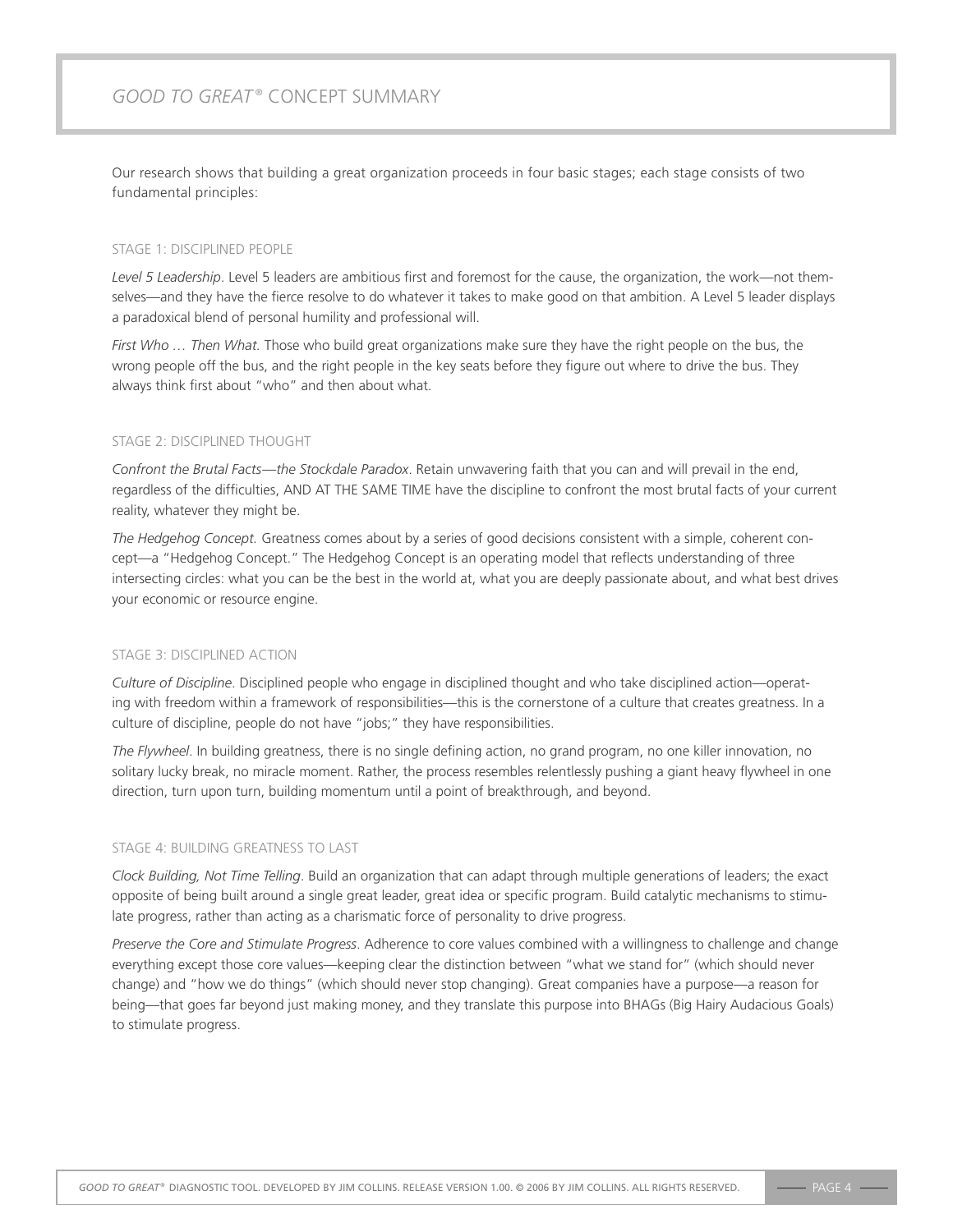Our research shows that building a great organization proceeds in four basic stages; each stage consists of two fundamental principles:

#### STAGE 1: DISCIPLINED PEOPLE

*Level 5 Leadership*. Level 5 leaders are ambitious first and foremost for the cause, the organization, the work—not themselves—and they have the fierce resolve to do whatever it takes to make good on that ambition. A Level 5 leader displays a paradoxical blend of personal humility and professional will.

*First Who … Then What.* Those who build great organizations make sure they have the right people on the bus, the wrong people off the bus, and the right people in the key seats before they figure out where to drive the bus. They always think first about "who" and then about what.

#### STAGE 2: DISCIPLINED THOUGHT

*Confront the Brutal Facts—the Stockdale Paradox*. Retain unwavering faith that you can and will prevail in the end, regardless of the difficulties, AND AT THE SAME TIME have the discipline to confront the most brutal facts of your current reality, whatever they might be.

*The Hedgehog Concept.* Greatness comes about by a series of good decisions consistent with a simple, coherent concept—a "Hedgehog Concept." The Hedgehog Concept is an operating model that reflects understanding of three intersecting circles: what you can be the best in the world at, what you are deeply passionate about, and what best drives your economic or resource engine.

#### STAGE 3: DISCIPLINED ACTION

*Culture of Discipline*. Disciplined people who engage in disciplined thought and who take disciplined action—operating with freedom within a framework of responsibilities—this is the cornerstone of a culture that creates greatness. In a culture of discipline, people do not have "jobs;" they have responsibilities.

*The Flywheel*. In building greatness, there is no single defining action, no grand program, no one killer innovation, no solitary lucky break, no miracle moment. Rather, the process resembles relentlessly pushing a giant heavy flywheel in one direction, turn upon turn, building momentum until a point of breakthrough, and beyond.

#### STAGE 4: BUILDING GREATNESS TO LAST

*Clock Building, Not Time Telling*. Build an organization that can adapt through multiple generations of leaders; the exact opposite of being built around a single great leader, great idea or specific program. Build catalytic mechanisms to stimulate progress, rather than acting as a charismatic force of personality to drive progress.

*Preserve the Core and Stimulate Progress*. Adherence to core values combined with a willingness to challenge and change everything except those core values—keeping clear the distinction between "what we stand for" (which should never change) and "how we do things" (which should never stop changing). Great companies have a purpose—a reason for being—that goes far beyond just making money, and they translate this purpose into BHAGs (Big Hairy Audacious Goals) to stimulate progress.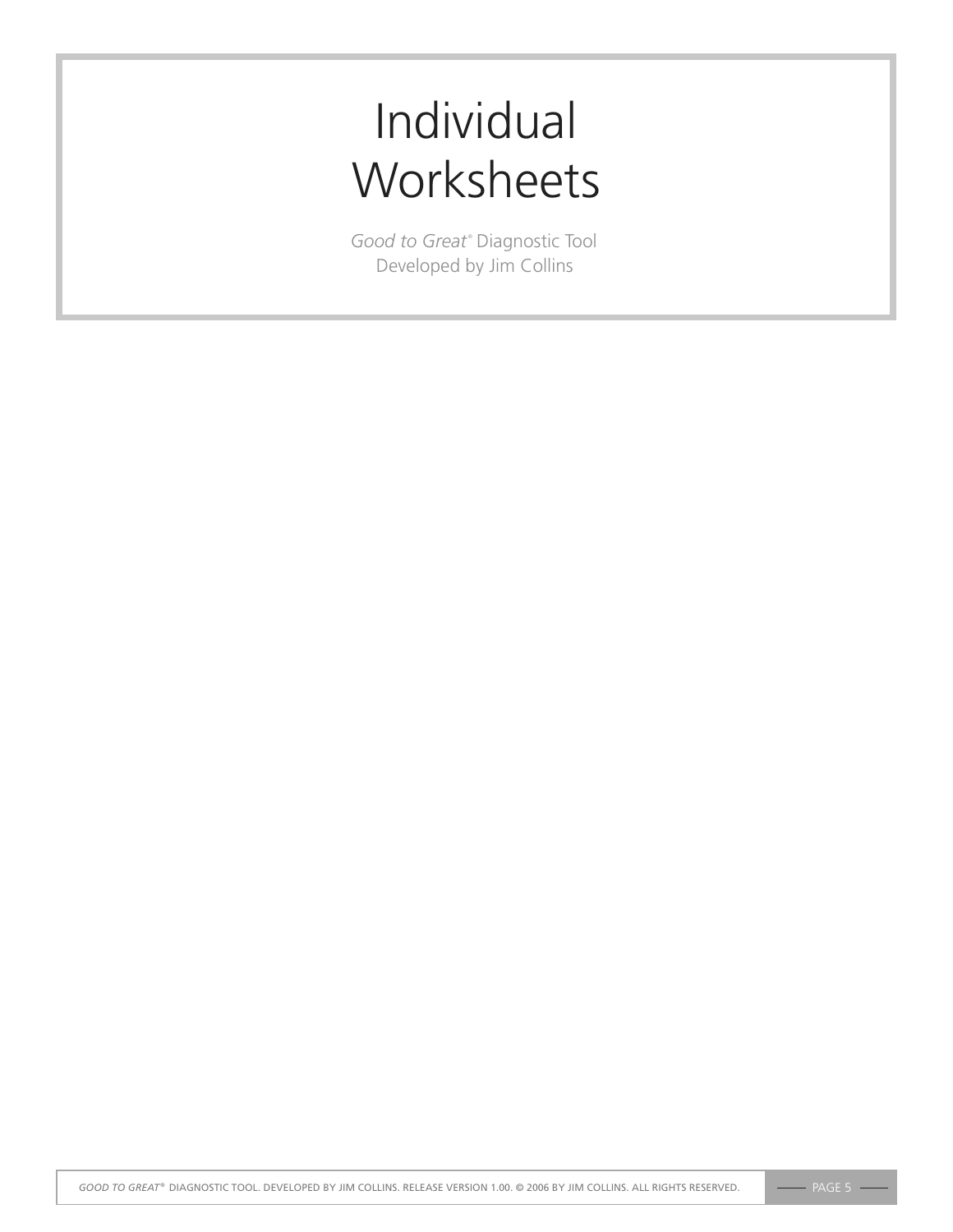## Individual **Worksheets**

Good to Great<sup>®</sup> Diagnostic Tool Developed by Jim Collins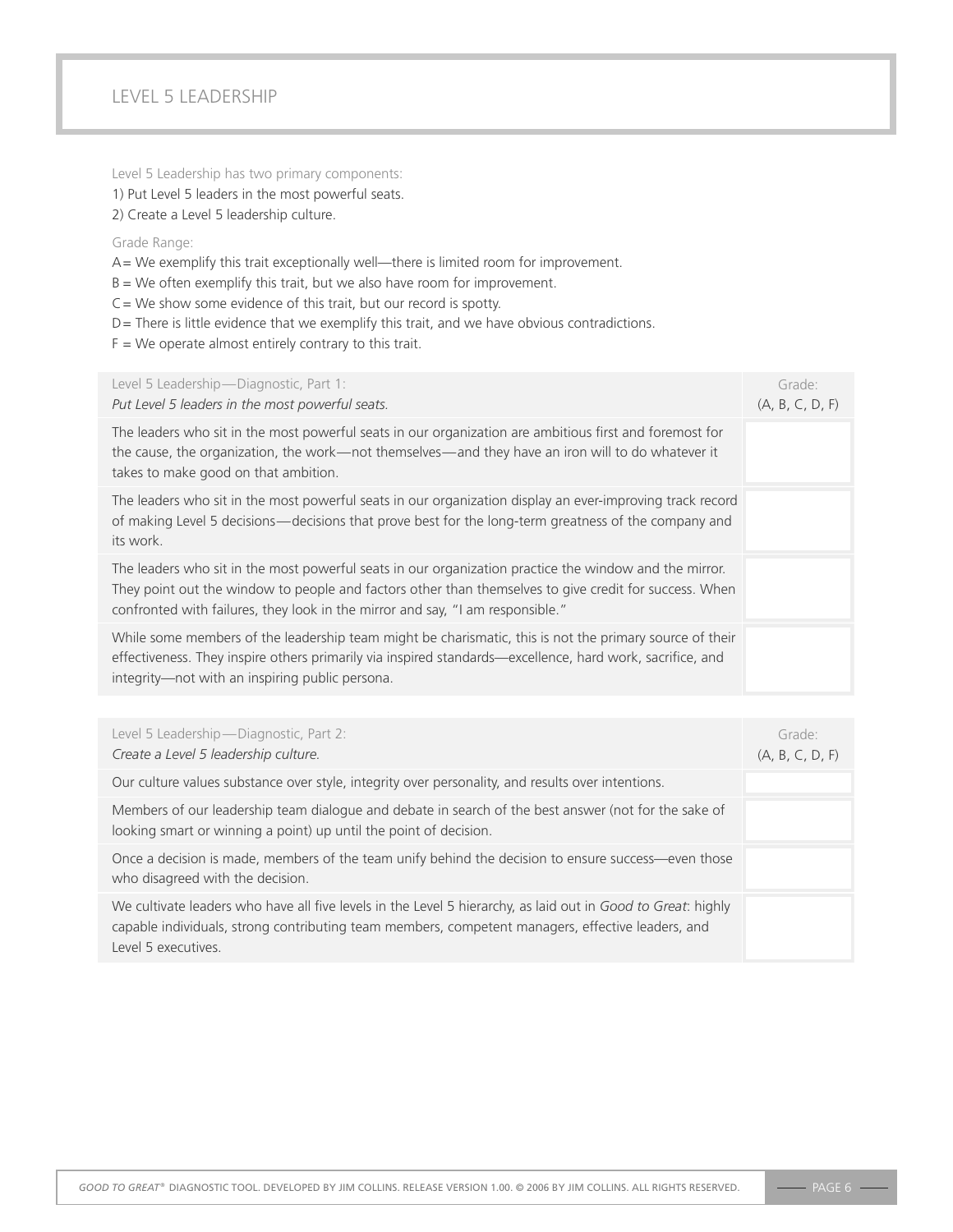## LEVEL 5 LEADERSHIP

Level 5 Leadership has two primary components:

1) Put Level 5 leaders in the most powerful seats.

2) Create a Level 5 leadership culture.

## Grade Range:

A = We exemplify this trait exceptionally well—there is limited room for improvement.

 $B =$  We often exemplify this trait, but we also have room for improvement.

C = We show some evidence of this trait, but our record is spotty.

D = There is little evidence that we exemplify this trait, and we have obvious contradictions.

| Level 5 Leadership - Diagnostic, Part 1:<br>Put Level 5 leaders in the most powerful seats.                                                                                                                                                                                                        | Grade:<br>(A, B, C, D, F) |
|----------------------------------------------------------------------------------------------------------------------------------------------------------------------------------------------------------------------------------------------------------------------------------------------------|---------------------------|
| The leaders who sit in the most powerful seats in our organization are ambitious first and foremost for<br>the cause, the organization, the work—not themselves—and they have an iron will to do whatever it<br>takes to make good on that ambition.                                               |                           |
| The leaders who sit in the most powerful seats in our organization display an ever-improving track record<br>of making Level 5 decisions—decisions that prove best for the long-term greatness of the company and<br>its work.                                                                     |                           |
| The leaders who sit in the most powerful seats in our organization practice the window and the mirror.<br>They point out the window to people and factors other than themselves to give credit for success. When<br>confronted with failures, they look in the mirror and say, "I am responsible." |                           |
| While some members of the leadership team might be charismatic, this is not the primary source of their<br>effectiveness. They inspire others primarily via inspired standards—excellence, hard work, sacrifice, and<br>integrity—not with an inspiring public persona.                            |                           |

| Level 5 Leadership - Diagnostic, Part 2:<br>Create a Level 5 leadership culture.                                                                                                                                                         | Grade:<br>(A, B, C, D, F) |
|------------------------------------------------------------------------------------------------------------------------------------------------------------------------------------------------------------------------------------------|---------------------------|
| Our culture values substance over style, integrity over personality, and results over intentions.                                                                                                                                        |                           |
| Members of our leadership team dialogue and debate in search of the best answer (not for the sake of<br>looking smart or winning a point) up until the point of decision.                                                                |                           |
| Once a decision is made, members of the team unify behind the decision to ensure success—even those<br>who disagreed with the decision.                                                                                                  |                           |
| We cultivate leaders who have all five levels in the Level 5 hierarchy, as laid out in Good to Great: highly<br>capable individuals, strong contributing team members, competent managers, effective leaders, and<br>Level 5 executives. |                           |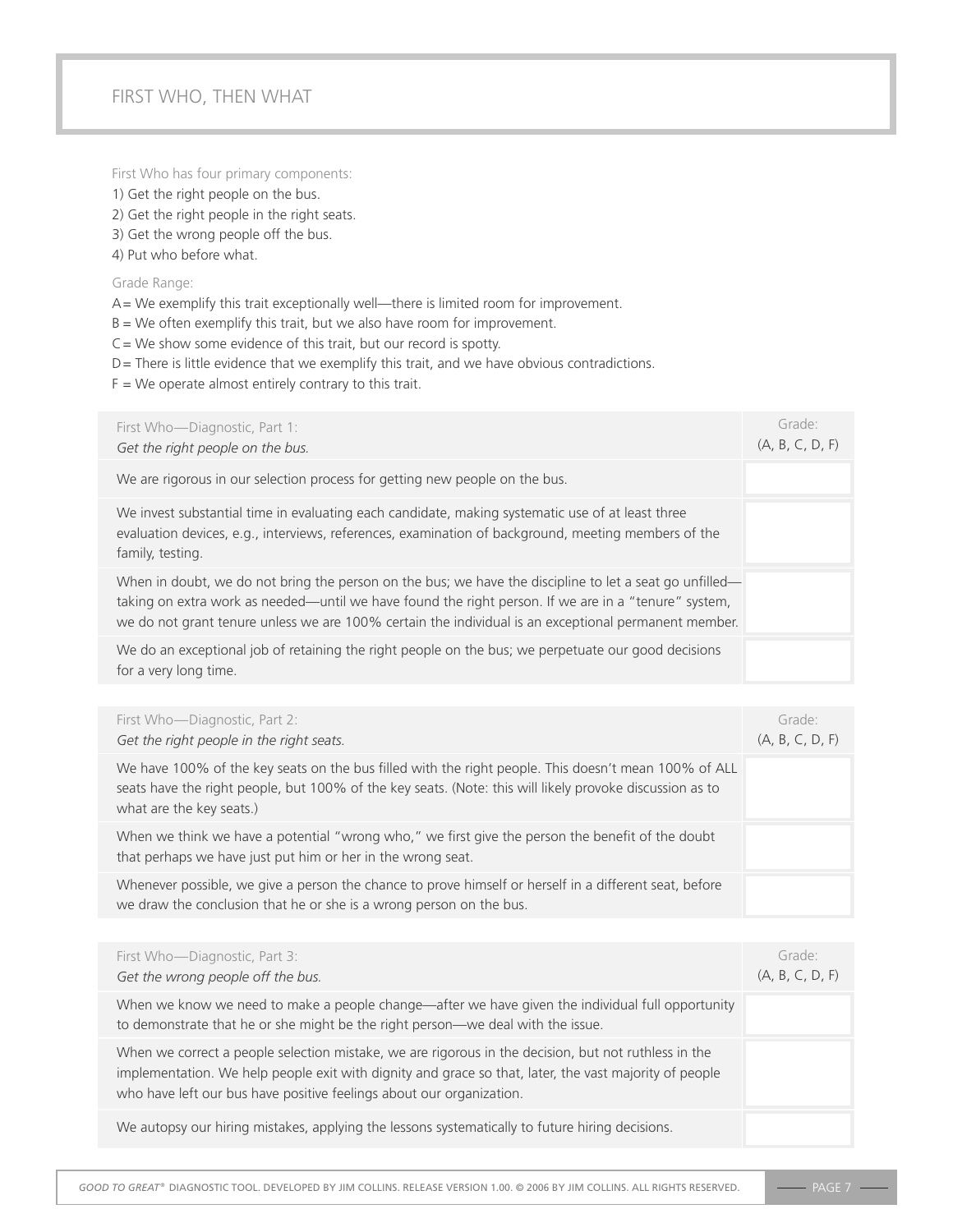## FIRST WHO, THEN WHAT

First Who has four primary components:

- 1) Get the right people on the bus.
- 2) Get the right people in the right seats.
- 3) Get the wrong people off the bus.
- 4) Put who before what.

## Grade Range:

A = We exemplify this trait exceptionally well—there is limited room for improvement.

- $B =$  We often exemplify this trait, but we also have room for improvement.
- $C =$  We show some evidence of this trait, but our record is spotty.
- D = There is little evidence that we exemplify this trait, and we have obvious contradictions.

| First Who—Diagnostic, Part 1:<br>Get the right people on the bus.                                                                                                                                                                                                                                                       | Grade:<br>(A, B, C, D, F) |
|-------------------------------------------------------------------------------------------------------------------------------------------------------------------------------------------------------------------------------------------------------------------------------------------------------------------------|---------------------------|
| We are rigorous in our selection process for getting new people on the bus.                                                                                                                                                                                                                                             |                           |
| We invest substantial time in evaluating each candidate, making systematic use of at least three<br>evaluation devices, e.g., interviews, references, examination of background, meeting members of the<br>family, testing.                                                                                             |                           |
| When in doubt, we do not bring the person on the bus; we have the discipline to let a seat go unfilled—<br>taking on extra work as needed—until we have found the right person. If we are in a "tenure" system,<br>we do not grant tenure unless we are 100% certain the individual is an exceptional permanent member. |                           |
| We do an exceptional job of retaining the right people on the bus; we perpetuate our good decisions<br>for a very long time.                                                                                                                                                                                            |                           |

| First Who-Diagnostic, Part 2:<br>Get the right people in the right seats.                                                                                                                                                                    | Grade:<br>(A, B, C, D, F) |
|----------------------------------------------------------------------------------------------------------------------------------------------------------------------------------------------------------------------------------------------|---------------------------|
| We have 100% of the key seats on the bus filled with the right people. This doesn't mean 100% of ALL<br>seats have the right people, but 100% of the key seats. (Note: this will likely provoke discussion as to<br>what are the key seats.) |                           |
| When we think we have a potential "wrong who," we first give the person the benefit of the doubt<br>that perhaps we have just put him or her in the wrong seat.                                                                              |                           |
| Whenever possible, we give a person the chance to prove himself or herself in a different seat, before<br>we draw the conclusion that he or she is a wrong person on the bus.                                                                |                           |

| First Who-Diagnostic, Part 3:<br>Get the wrong people off the bus.                                                                                                                                                                                                                     | Grade:<br>(A, B, C, D, F) |
|----------------------------------------------------------------------------------------------------------------------------------------------------------------------------------------------------------------------------------------------------------------------------------------|---------------------------|
| When we know we need to make a people change—after we have given the individual full opportunity<br>to demonstrate that he or she might be the right person-we deal with the issue.                                                                                                    |                           |
| When we correct a people selection mistake, we are rigorous in the decision, but not ruthless in the<br>implementation. We help people exit with dignity and grace so that, later, the vast majority of people<br>who have left our bus have positive feelings about our organization. |                           |
| We autopsy our hiring mistakes, applying the lessons systematically to future hiring decisions.                                                                                                                                                                                        |                           |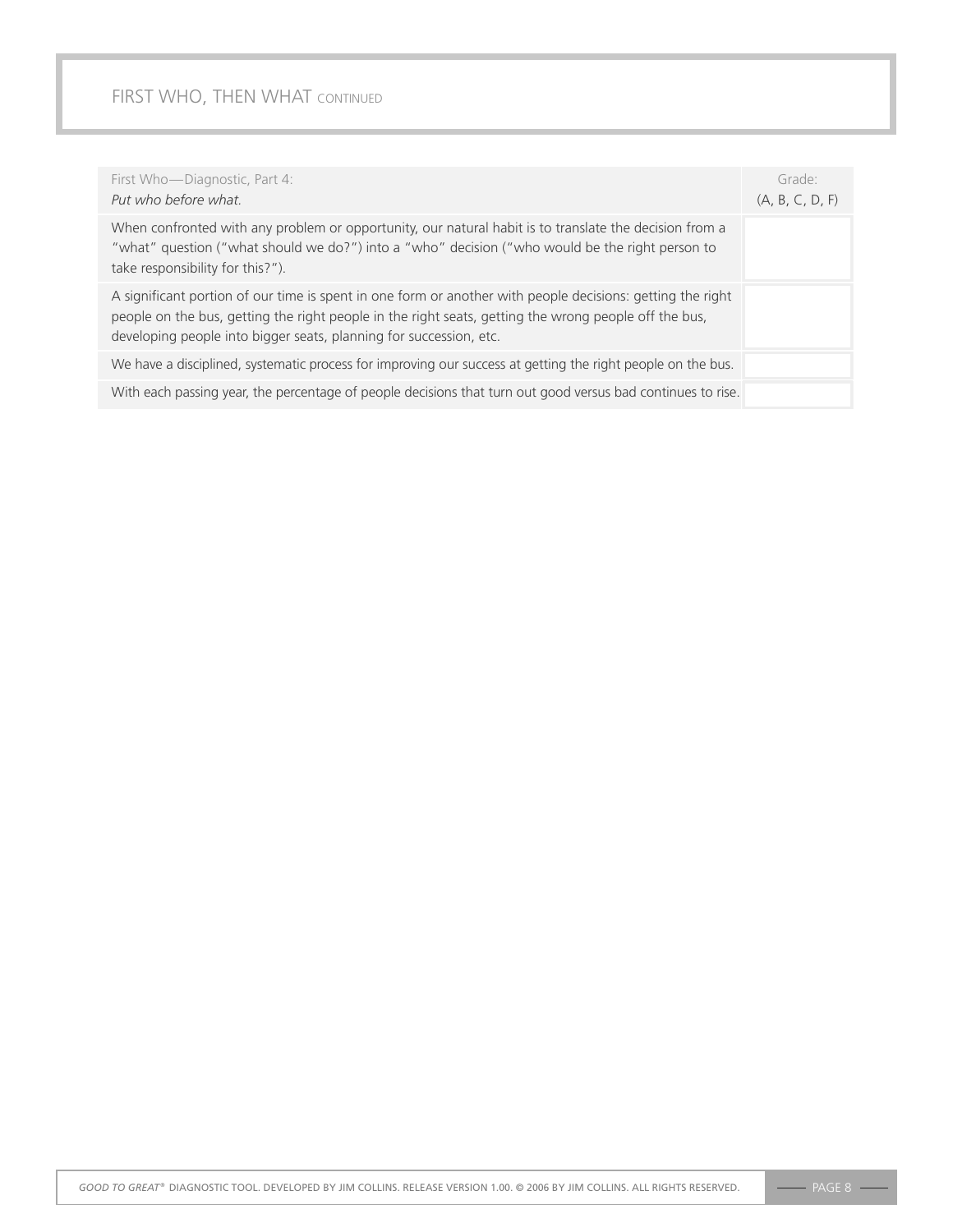## FIRST WHO, THEN WHAT CONTINUED

| First Who-Diagnostic, Part 4:<br>Put who before what.                                                                                                                                                                                                                                     | Grade:<br>(A, B, C, D, F) |
|-------------------------------------------------------------------------------------------------------------------------------------------------------------------------------------------------------------------------------------------------------------------------------------------|---------------------------|
| When confronted with any problem or opportunity, our natural habit is to translate the decision from a<br>"what" question ("what should we do?") into a "who" decision ("who would be the right person to<br>take responsibility for this?").                                             |                           |
| A significant portion of our time is spent in one form or another with people decisions: getting the right<br>people on the bus, getting the right people in the right seats, getting the wrong people off the bus,<br>developing people into bigger seats, planning for succession, etc. |                           |
| We have a disciplined, systematic process for improving our success at getting the right people on the bus.                                                                                                                                                                               |                           |
| With each passing year, the percentage of people decisions that turn out good versus bad continues to rise.                                                                                                                                                                               |                           |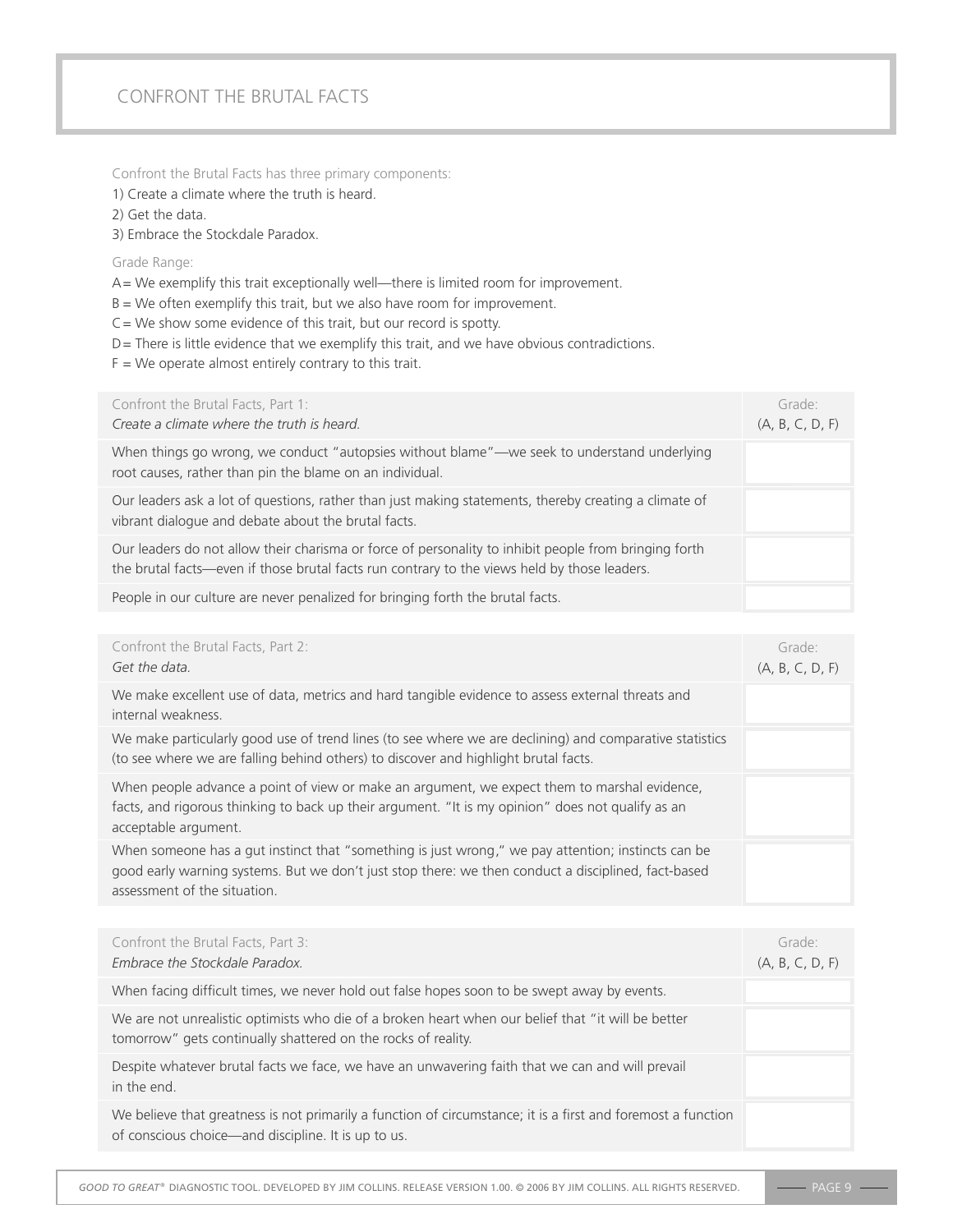## CONFRONT THE BRUTAL FACTS

Confront the Brutal Facts has three primary components:

1) Create a climate where the truth is heard.

2) Get the data.

3) Embrace the Stockdale Paradox.

## Grade Range:

A = We exemplify this trait exceptionally well—there is limited room for improvement.

 $B =$  We often exemplify this trait, but we also have room for improvement.

 $C =$  We show some evidence of this trait, but our record is spotty.

- D = There is little evidence that we exemplify this trait, and we have obvious contradictions.
- $F = We$  operate almost entirely contrary to this trait.

| Confront the Brutal Facts, Part 1:<br>Create a climate where the truth is heard.                                                                                                                      | Grade:<br>(A, B, C, D, F) |
|-------------------------------------------------------------------------------------------------------------------------------------------------------------------------------------------------------|---------------------------|
| When things go wrong, we conduct "autopsies without blame"—we seek to understand underlying<br>root causes, rather than pin the blame on an individual.                                               |                           |
| Our leaders ask a lot of questions, rather than just making statements, thereby creating a climate of<br>vibrant dialogue and debate about the brutal facts.                                          |                           |
| Our leaders do not allow their charisma or force of personality to inhibit people from bringing forth<br>the brutal facts—even if those brutal facts run contrary to the views held by those leaders. |                           |
| People in our culture are never penalized for bringing forth the brutal facts.                                                                                                                        |                           |

| Confront the Brutal Facts, Part 2:<br>Get the data.                                                                                                                                                                                       | Grade:<br>(A, B, C, D, F) |
|-------------------------------------------------------------------------------------------------------------------------------------------------------------------------------------------------------------------------------------------|---------------------------|
| We make excellent use of data, metrics and hard tangible evidence to assess external threats and<br>internal weakness.                                                                                                                    |                           |
| We make particularly good use of trend lines (to see where we are declining) and comparative statistics<br>(to see where we are falling behind others) to discover and highlight brutal facts.                                            |                           |
| When people advance a point of view or make an argument, we expect them to marshal evidence,<br>facts, and rigorous thinking to back up their argument. "It is my opinion" does not qualify as an<br>acceptable argument.                 |                           |
| When someone has a gut instinct that "something is just wrong," we pay attention; instincts can be<br>good early warning systems. But we don't just stop there: we then conduct a disciplined, fact-based<br>assessment of the situation. |                           |

| Confront the Brutal Facts, Part 3:<br>Embrace the Stockdale Paradox.                                                                                                | Grade:<br>(A, B, C, D, F) |
|---------------------------------------------------------------------------------------------------------------------------------------------------------------------|---------------------------|
| When facing difficult times, we never hold out false hopes soon to be swept away by events.                                                                         |                           |
| We are not unrealistic optimists who die of a broken heart when our belief that "it will be better<br>tomorrow" gets continually shattered on the rocks of reality. |                           |
| Despite whatever brutal facts we face, we have an unwavering faith that we can and will prevail<br>in the end.                                                      |                           |
| We believe that greatness is not primarily a function of circumstance; it is a first and foremost a function<br>of conscious choice—and discipline. It is up to us. |                           |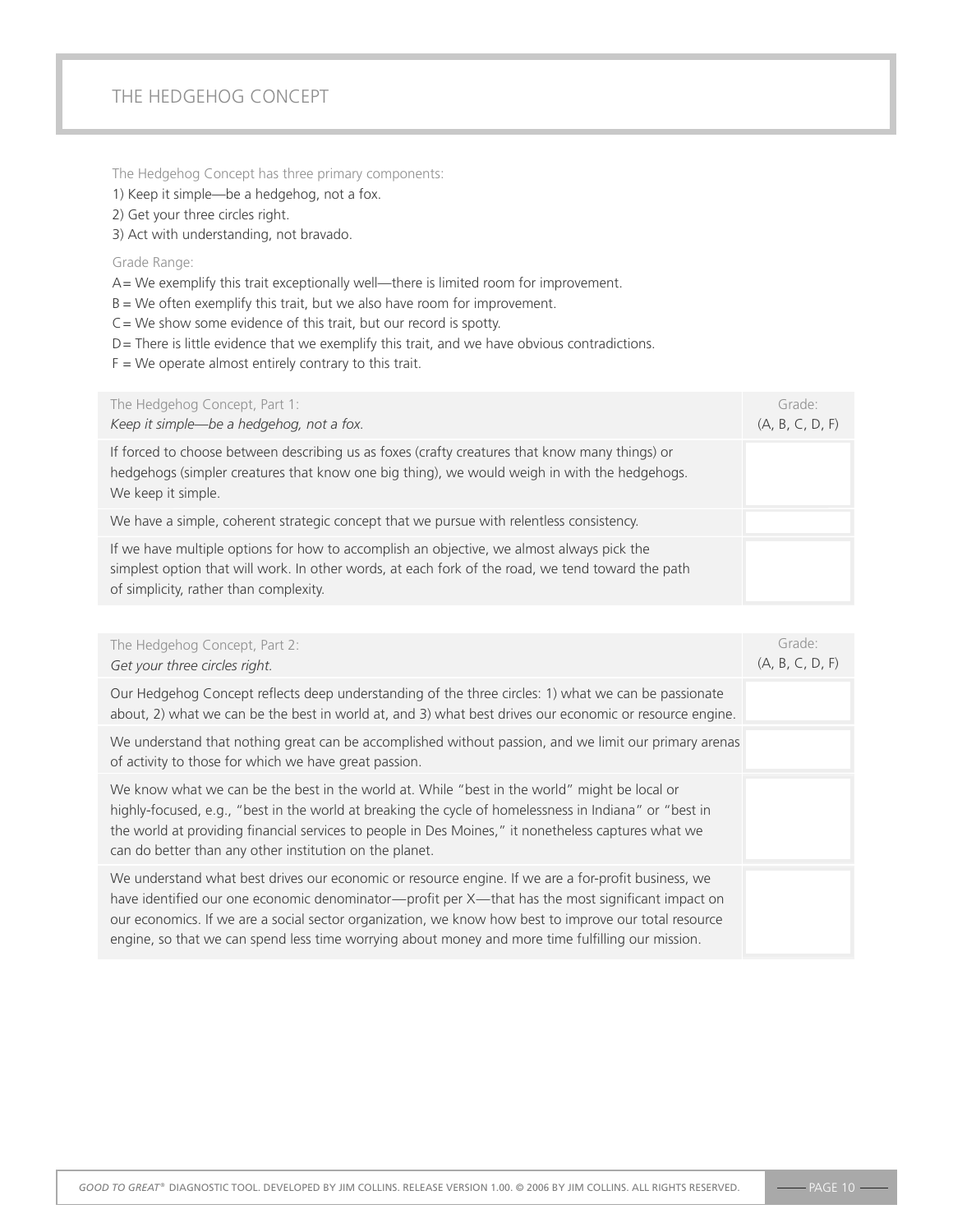## THE HEDGEHOG CONCEPT

The Hedgehog Concept has three primary components:

- 1) Keep it simple—be a hedgehog, not a fox.
- 2) Get your three circles right.
- 3) Act with understanding, not bravado.

## Grade Range:

A = We exemplify this trait exceptionally well—there is limited room for improvement.

- $B =$  We often exemplify this trait, but we also have room for improvement.
- $C =$  We show some evidence of this trait, but our record is spotty.
- D = There is little evidence that we exemplify this trait, and we have obvious contradictions.
- $F = We$  operate almost entirely contrary to this trait.

| The Hedgehog Concept, Part 1:<br>Keep it simple—be a hedgehog, not a fox.                                                                                                                                                                | Grade:<br>(A, B, C, D, F) |
|------------------------------------------------------------------------------------------------------------------------------------------------------------------------------------------------------------------------------------------|---------------------------|
| If forced to choose between describing us as foxes (crafty creatures that know many things) or<br>hedgehogs (simpler creatures that know one big thing), we would weigh in with the hedgehogs.<br>We keep it simple.                     |                           |
| We have a simple, coherent strategic concept that we pursue with relentless consistency.                                                                                                                                                 |                           |
| If we have multiple options for how to accomplish an objective, we almost always pick the<br>simplest option that will work. In other words, at each fork of the road, we tend toward the path<br>of simplicity, rather than complexity. |                           |

| The Hedgehog Concept, Part 2:<br>Get your three circles right.                                                                                                                                                                                                                                                                                                                                                         | Grade:<br>(A, B, C, D, F) |
|------------------------------------------------------------------------------------------------------------------------------------------------------------------------------------------------------------------------------------------------------------------------------------------------------------------------------------------------------------------------------------------------------------------------|---------------------------|
| Our Hedgehog Concept reflects deep understanding of the three circles: 1) what we can be passionate<br>about, 2) what we can be the best in world at, and 3) what best drives our economic or resource engine.                                                                                                                                                                                                         |                           |
| We understand that nothing great can be accomplished without passion, and we limit our primary arenas<br>of activity to those for which we have great passion.                                                                                                                                                                                                                                                         |                           |
| We know what we can be the best in the world at. While "best in the world" might be local or<br>highly-focused, e.g., "best in the world at breaking the cycle of homelessness in Indiana" or "best in<br>the world at providing financial services to people in Des Moines," it nonetheless captures what we<br>can do better than any other institution on the planet.                                               |                           |
| We understand what best drives our economic or resource engine. If we are a for-profit business, we<br>have identified our one economic denominator—profit per X—that has the most significant impact on<br>our economics. If we are a social sector organization, we know how best to improve our total resource<br>engine, so that we can spend less time worrying about money and more time fulfilling our mission. |                           |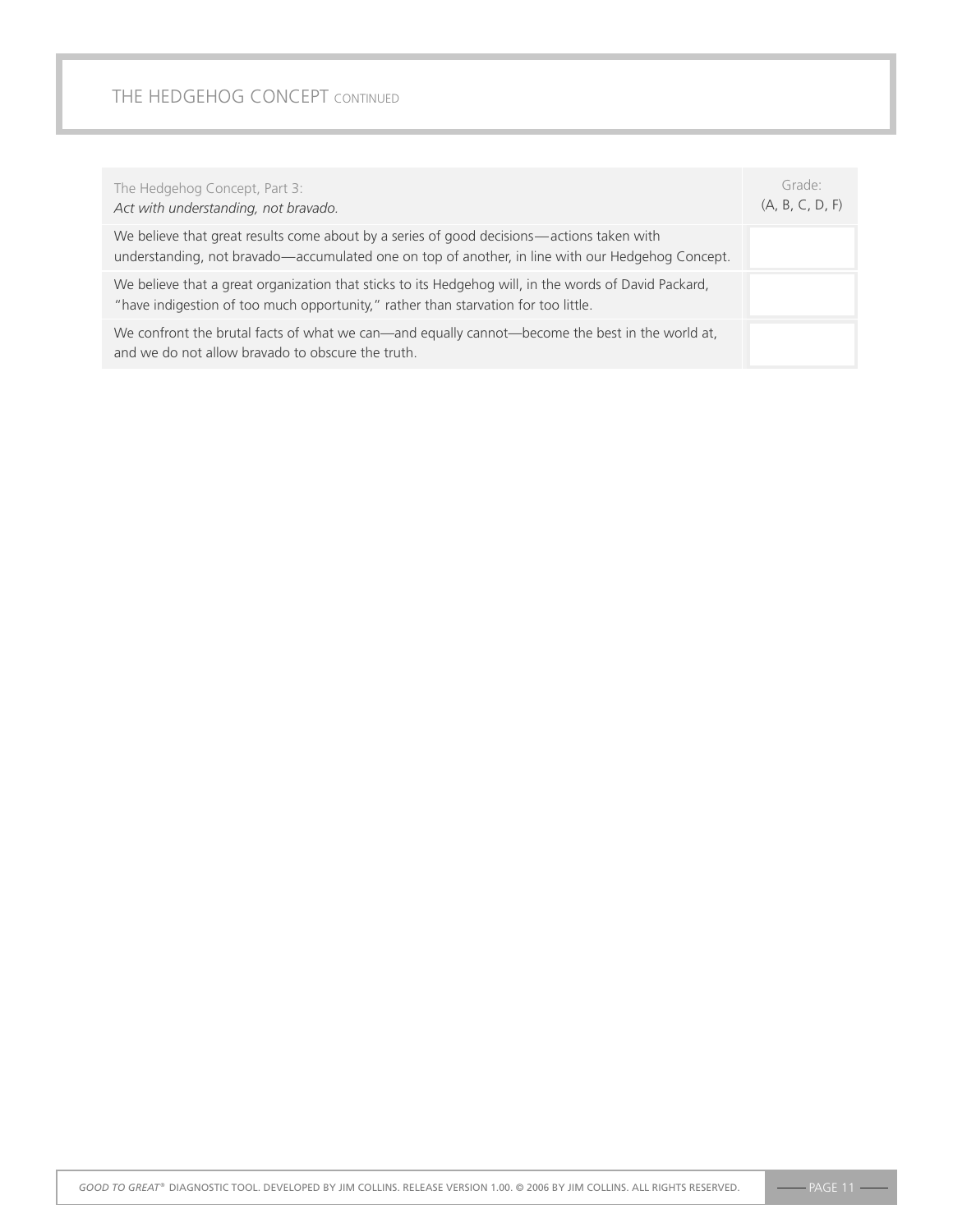| The Hedgehog Concept, Part 3:<br>Act with understanding, not bravado.                                                                                                                         | Grade:<br>(A, B, C, D, F) |
|-----------------------------------------------------------------------------------------------------------------------------------------------------------------------------------------------|---------------------------|
| We believe that great results come about by a series of good decisions—actions taken with<br>understanding, not bravado—accumulated one on top of another, in line with our Hedgehog Concept. |                           |
| We believe that a great organization that sticks to its Hedgehog will, in the words of David Packard,<br>"have indigestion of too much opportunity," rather than starvation for too little.   |                           |
| We confront the brutal facts of what we can—and equally cannot—become the best in the world at,<br>and we do not allow brayado to obscure the truth.                                          |                           |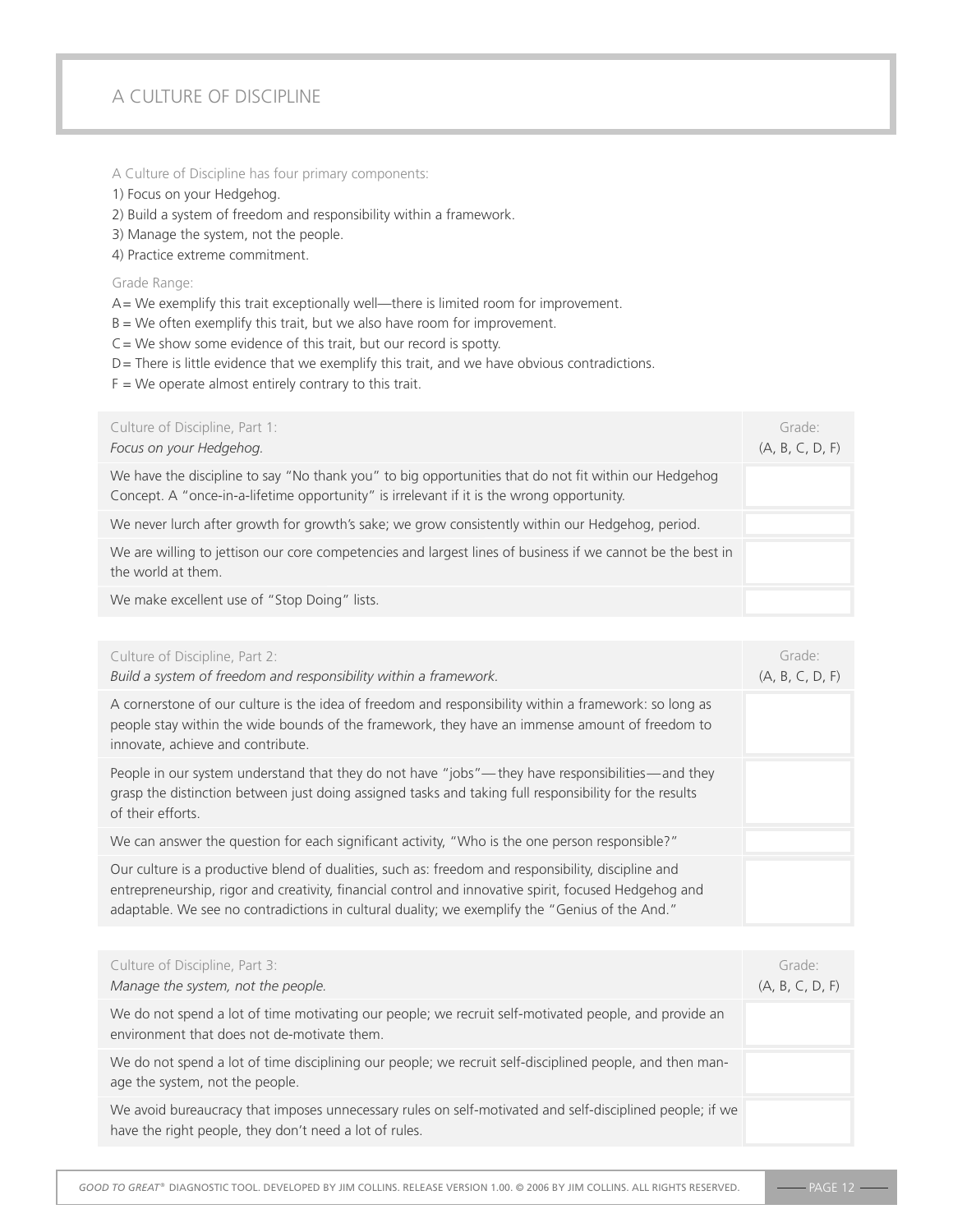## A CULTURE OF DISCIPLINE

A Culture of Discipline has four primary components:

1) Focus on your Hedgehog.

2) Build a system of freedom and responsibility within a framework.

- 3) Manage the system, not the people.
- 4) Practice extreme commitment.

#### Grade Range:

A = We exemplify this trait exceptionally well—there is limited room for improvement.

- $B =$  We often exemplify this trait, but we also have room for improvement.
- $C =$  We show some evidence of this trait, but our record is spotty.
- D = There is little evidence that we exemplify this trait, and we have obvious contradictions.

| Culture of Discipline, Part 1:<br>Focus on your Hedgehoq.                                                                                                                                          | Grade:<br>(A, B, C, D, F) |
|----------------------------------------------------------------------------------------------------------------------------------------------------------------------------------------------------|---------------------------|
| We have the discipline to say "No thank you" to big opportunities that do not fit within our Hedgehog<br>Concept. A "once-in-a-lifetime opportunity" is irrelevant if it is the wrong opportunity. |                           |
| We never lurch after growth for growth's sake; we grow consistently within our Hedgehog, period.                                                                                                   |                           |
| We are willing to jettison our core competencies and largest lines of business if we cannot be the best in<br>the world at them.                                                                   |                           |
| We make excellent use of "Stop Doing" lists.                                                                                                                                                       |                           |

| Culture of Discipline, Part 2:<br>Build a system of freedom and responsibility within a framework.                                                                                                                                                                                                             | Grade:<br>(A, B, C, D, F) |
|----------------------------------------------------------------------------------------------------------------------------------------------------------------------------------------------------------------------------------------------------------------------------------------------------------------|---------------------------|
| A cornerstone of our culture is the idea of freedom and responsibility within a framework: so long as<br>people stay within the wide bounds of the framework, they have an immense amount of freedom to<br>innovate, achieve and contribute.                                                                   |                           |
| People in our system understand that they do not have "jobs"—they have responsibilities—and they<br>grasp the distinction between just doing assigned tasks and taking full responsibility for the results<br>of their efforts.                                                                                |                           |
| We can answer the question for each significant activity, "Who is the one person responsible?"                                                                                                                                                                                                                 |                           |
| Our culture is a productive blend of dualities, such as: freedom and responsibility, discipline and<br>entrepreneurship, rigor and creativity, financial control and innovative spirit, focused Hedgehog and<br>adaptable. We see no contradictions in cultural duality; we exemplify the "Genius of the And." |                           |

| Culture of Discipline, Part 3:<br>Manage the system, not the people.                                                                                               | Grade:<br>(A, B, C, D, F) |
|--------------------------------------------------------------------------------------------------------------------------------------------------------------------|---------------------------|
| We do not spend a lot of time motivating our people; we recruit self-motivated people, and provide an<br>environment that does not de-motivate them.               |                           |
| We do not spend a lot of time disciplining our people; we recruit self-disciplined people, and then man-<br>age the system, not the people.                        |                           |
| We avoid bureaucracy that imposes unnecessary rules on self-motivated and self-disciplined people; if we<br>have the right people, they don't need a lot of rules. |                           |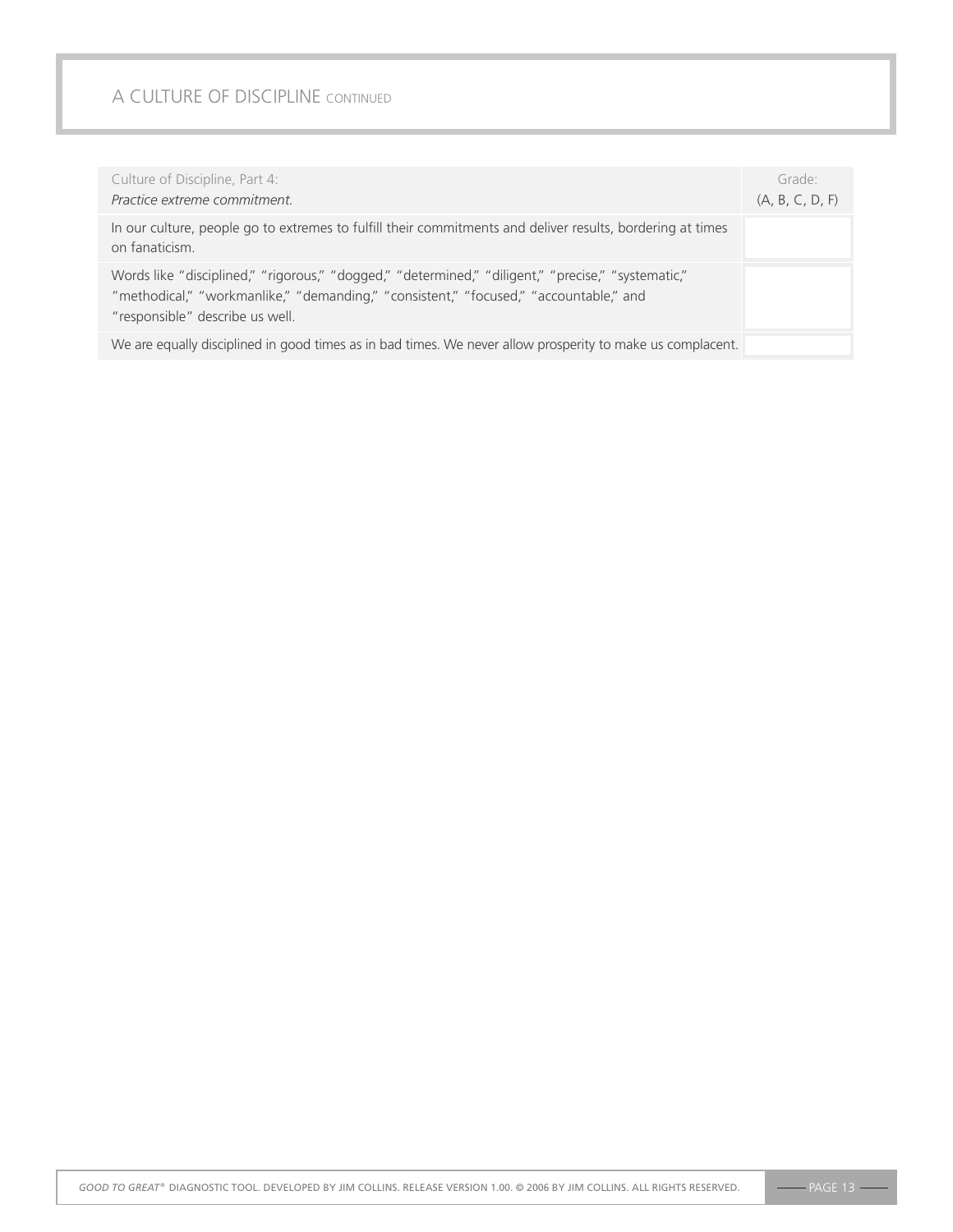## A CULTURE OF DISCIPLINE CONTINUED

| Culture of Discipline, Part 4:<br>Practice extreme commitment.                                                                                                                                                                 | Grade:<br>(A, B, C, D, F) |
|--------------------------------------------------------------------------------------------------------------------------------------------------------------------------------------------------------------------------------|---------------------------|
| In our culture, people go to extremes to fulfill their commitments and deliver results, bordering at times<br>on fanaticism.                                                                                                   |                           |
| Words like "disciplined," "rigorous," "dogged," "determined," "diligent," "precise," "systematic,"<br>"methodical," "workmanlike," "demanding," "consistent," "focused," "accountable," and<br>"responsible" describe us well. |                           |
| We are equally disciplined in good times as in bad times. We never allow prosperity to make us complacent.                                                                                                                     |                           |

GOOD TO GREAT<sup>®</sup> DIAGNOSTIC TOOL. DEVELOPED BY JIM COLLINS. RELEASE VERSION 1.00. © 2006 BY JIM COLLINS. ALL RIGHTS RESERVED. PAGE 13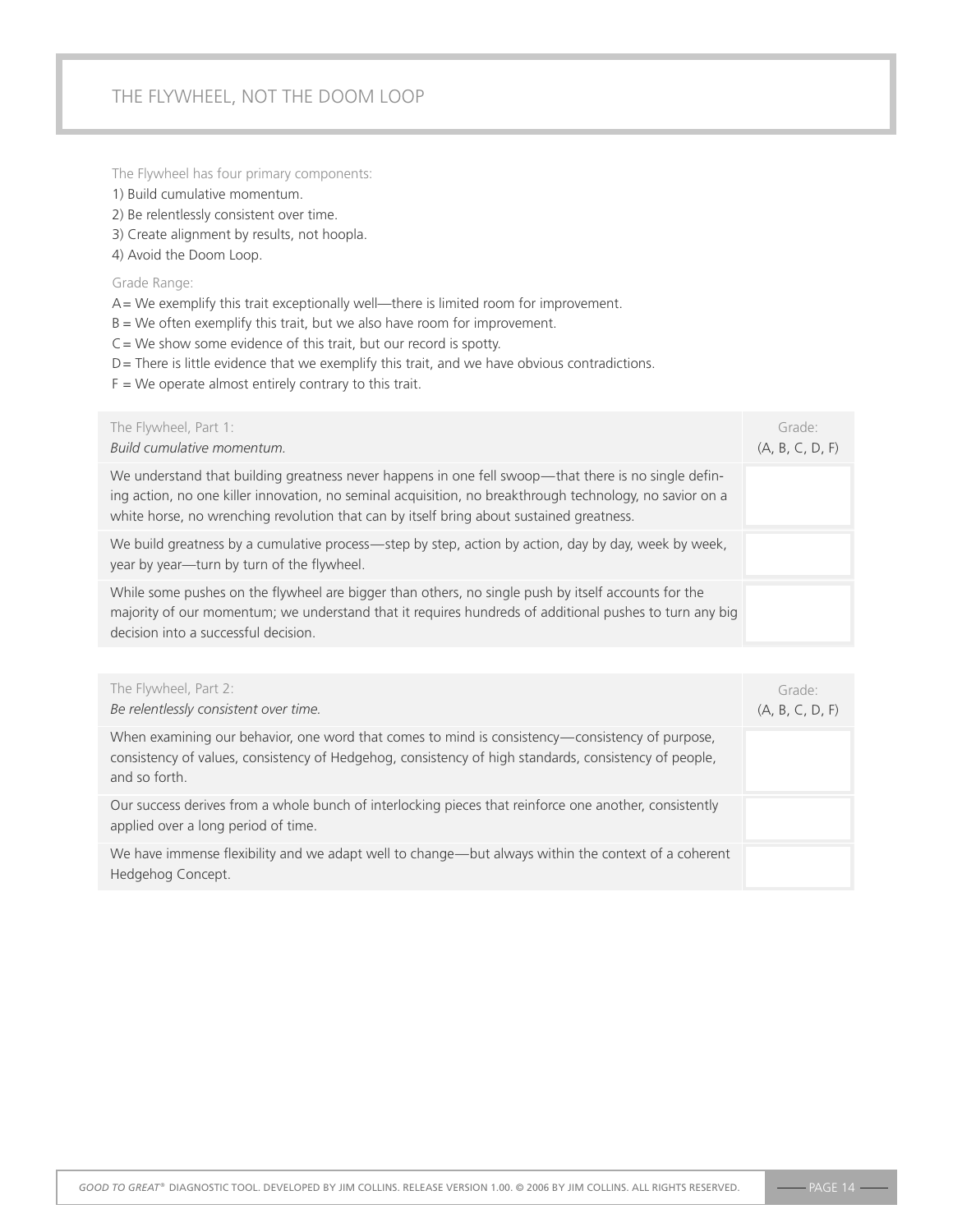## THE FLYWHEEL, NOT THE DOOM LOOP

The Flywheel has four primary components:

- 1) Build cumulative momentum.
- 2) Be relentlessly consistent over time.
- 3) Create alignment by results, not hoopla.
- 4) Avoid the Doom Loop.

#### Grade Range:

A = We exemplify this trait exceptionally well—there is limited room for improvement.

- $B =$  We often exemplify this trait, but we also have room for improvement.
- $C =$  We show some evidence of this trait, but our record is spotty.
- D = There is little evidence that we exemplify this trait, and we have obvious contradictions.

| The Flywheel, Part 1:<br>Build cumulative momentum.                                                                                                                                                                                                                                                          | Grade:<br>(A, B, C, D, F) |
|--------------------------------------------------------------------------------------------------------------------------------------------------------------------------------------------------------------------------------------------------------------------------------------------------------------|---------------------------|
| We understand that building greatness never happens in one fell swoop—that there is no single defin-<br>ing action, no one killer innovation, no seminal acquisition, no breakthrough technology, no savior on a<br>white horse, no wrenching revolution that can by itself bring about sustained greatness. |                           |
| We build greatness by a cumulative process—step by step, action by action, day by day, week by week,<br>year by year—turn by turn of the flywheel.                                                                                                                                                           |                           |
| While some pushes on the flywheel are bigger than others, no single push by itself accounts for the<br>majority of our momentum; we understand that it requires hundreds of additional pushes to turn any big<br>decision into a successful decision.                                                        |                           |

| The Flywheel, Part 2:<br>Be relentlessly consistent over time.                                                                                                                                                            | Grade:<br>(A, B, C, D, F) |
|---------------------------------------------------------------------------------------------------------------------------------------------------------------------------------------------------------------------------|---------------------------|
| When examining our behavior, one word that comes to mind is consistency—consistency of purpose,<br>consistency of values, consistency of Hedgehog, consistency of high standards, consistency of people,<br>and so forth. |                           |
| Our success derives from a whole bunch of interlocking pieces that reinforce one another, consistently<br>applied over a long period of time.                                                                             |                           |
| We have immense flexibility and we adapt well to change—but always within the context of a coherent<br>Hedgehog Concept.                                                                                                  |                           |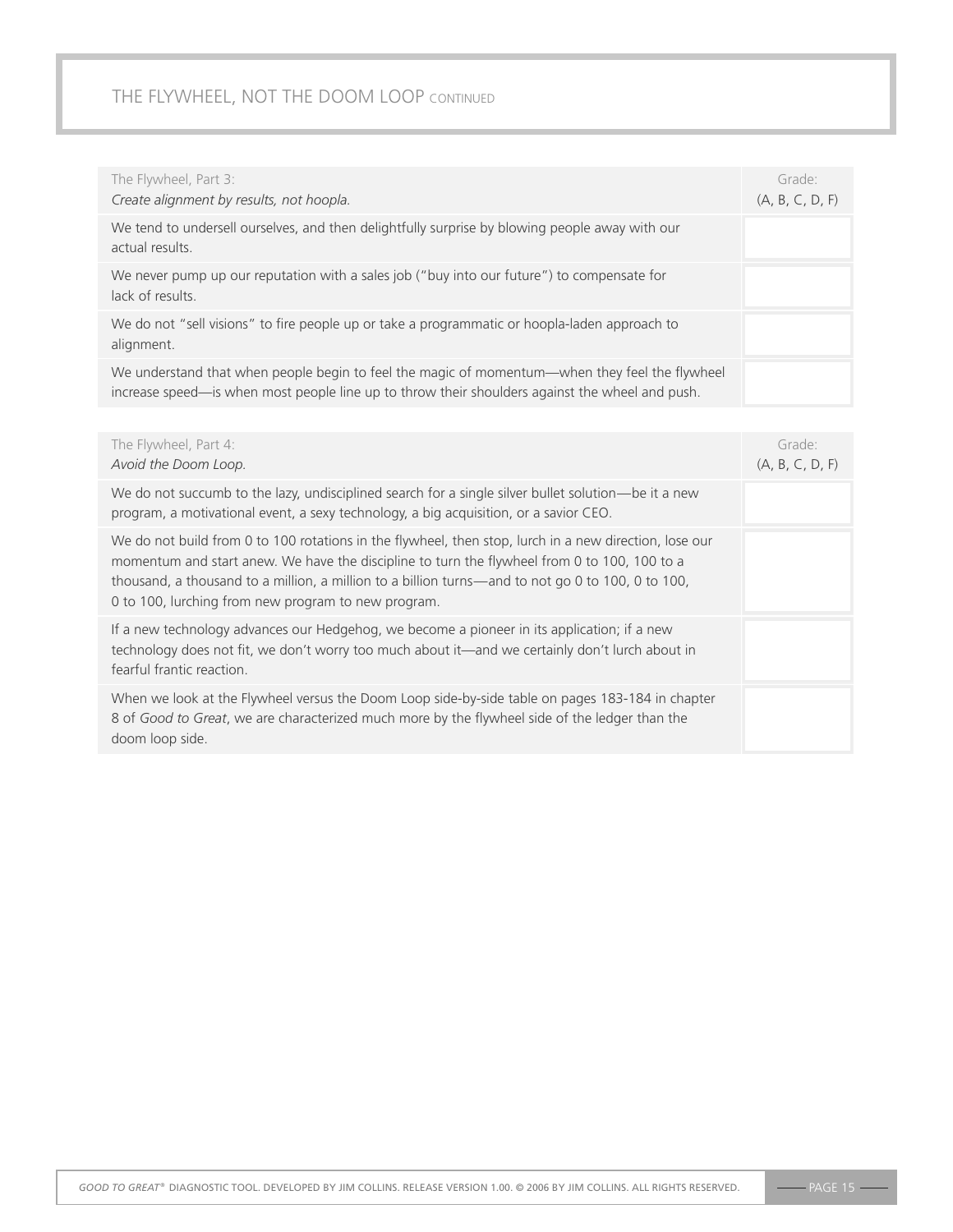## THE FLYWHEEL, NOT THE DOOM LOOP CONTINUED

| The Flywheel, Part 3:<br>Create alignment by results, not hoopla.                                                                                                                                 | Grade:<br>(A, B, C, D, F) |
|---------------------------------------------------------------------------------------------------------------------------------------------------------------------------------------------------|---------------------------|
| We tend to undersell ourselves, and then delightfully surprise by blowing people away with our<br>actual results.                                                                                 |                           |
| We never pump up our reputation with a sales job ("buy into our future") to compensate for<br>lack of results.                                                                                    |                           |
| We do not "sell visions" to fire people up or take a programmatic or hoopla-laden approach to<br>alignment.                                                                                       |                           |
| We understand that when people begin to feel the magic of momentum—when they feel the flywheel<br>increase speed—is when most people line up to throw their shoulders against the wheel and push. |                           |

| The Flywheel, Part 4:<br>Avoid the Doom Loop.                                                                                                                                                                                                                                                                                                                      | Grade:<br>(A, B, C, D, F) |
|--------------------------------------------------------------------------------------------------------------------------------------------------------------------------------------------------------------------------------------------------------------------------------------------------------------------------------------------------------------------|---------------------------|
| We do not succumb to the lazy, undisciplined search for a single silver bullet solution—be it a new<br>program, a motivational event, a sexy technology, a big acquisition, or a savior CEO.                                                                                                                                                                       |                           |
| We do not build from 0 to 100 rotations in the flywheel, then stop, lurch in a new direction, lose our<br>momentum and start anew. We have the discipline to turn the flywheel from 0 to 100, 100 to a<br>thousand, a thousand to a million, a million to a billion turns—and to not go 0 to 100, 0 to 100,<br>0 to 100, lurching from new program to new program. |                           |
| If a new technology advances our Hedgehog, we become a pioneer in its application; if a new<br>technology does not fit, we don't worry too much about it—and we certainly don't lurch about in<br>fearful frantic reaction.                                                                                                                                        |                           |
| When we look at the Flywheel versus the Doom Loop side-by-side table on pages 183-184 in chapter<br>8 of Good to Great, we are characterized much more by the flywheel side of the ledger than the<br>doom loop side.                                                                                                                                              |                           |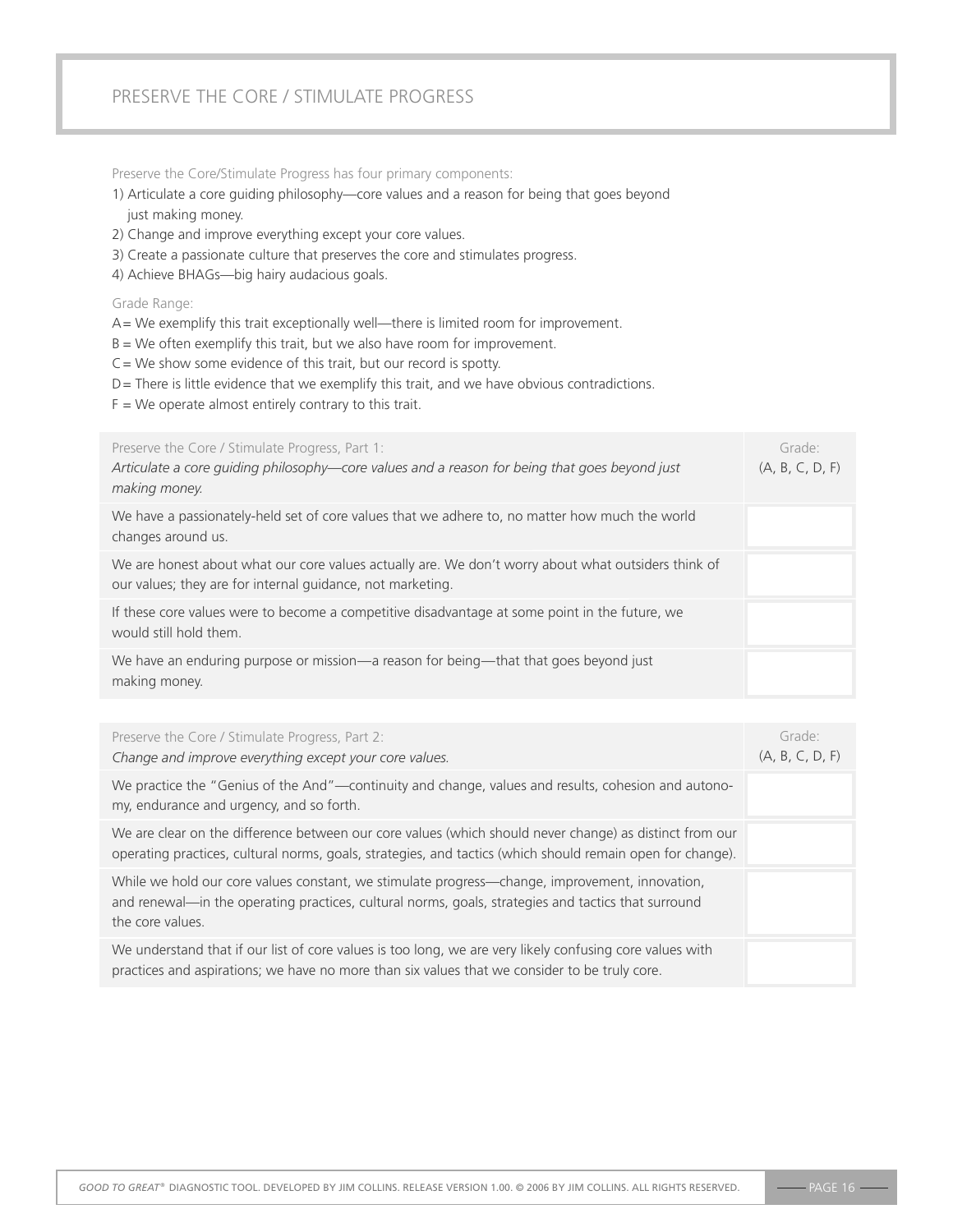## PRESERVE THE CORE / STIMULATE PROGRESS

Preserve the Core/Stimulate Progress has four primary components:

- 1) Articulate a core guiding philosophy—core values and a reason for being that goes beyond just making money.
- 2) Change and improve everything except your core values.
- 3) Create a passionate culture that preserves the core and stimulates progress.
- 4) Achieve BHAGs—big hairy audacious goals.

#### Grade Range:

- A = We exemplify this trait exceptionally well—there is limited room for improvement.
- $B =$  We often exemplify this trait, but we also have room for improvement.
- C = We show some evidence of this trait, but our record is spotty.
- D = There is little evidence that we exemplify this trait, and we have obvious contradictions.
- $F = We$  operate almost entirely contrary to this trait.

| Preserve the Core / Stimulate Progress, Part 1:<br>Articulate a core quiding philosophy—core values and a reason for being that goes beyond just<br>making money. | Grade:<br>(A, B, C, D, F) |
|-------------------------------------------------------------------------------------------------------------------------------------------------------------------|---------------------------|
| We have a passionately-held set of core values that we adhere to, no matter how much the world<br>changes around us.                                              |                           |
| We are honest about what our core values actually are. We don't worry about what outsiders think of<br>our values; they are for internal guidance, not marketing. |                           |
| If these core values were to become a competitive disadvantage at some point in the future, we<br>would still hold them.                                          |                           |
| We have an enduring purpose or mission-a reason for being-that that goes beyond just<br>making money.                                                             |                           |

| Preserve the Core / Stimulate Progress, Part 2:<br>Change and improve everything except your core values.                                                                                                                 | Grade:<br>(A, B, C, D, F) |
|---------------------------------------------------------------------------------------------------------------------------------------------------------------------------------------------------------------------------|---------------------------|
| We practice the "Genius of the And"—continuity and change, values and results, cohesion and autono-<br>my, endurance and urgency, and so forth.                                                                           |                           |
| We are clear on the difference between our core values (which should never change) as distinct from our<br>operating practices, cultural norms, goals, strategies, and tactics (which should remain open for change).     |                           |
| While we hold our core values constant, we stimulate progress—change, improvement, innovation,<br>and renewal—in the operating practices, cultural norms, goals, strategies and tactics that surround<br>the core values. |                           |
| We understand that if our list of core values is too long, we are very likely confusing core values with<br>practices and aspirations; we have no more than six values that we consider to be truly core.                 |                           |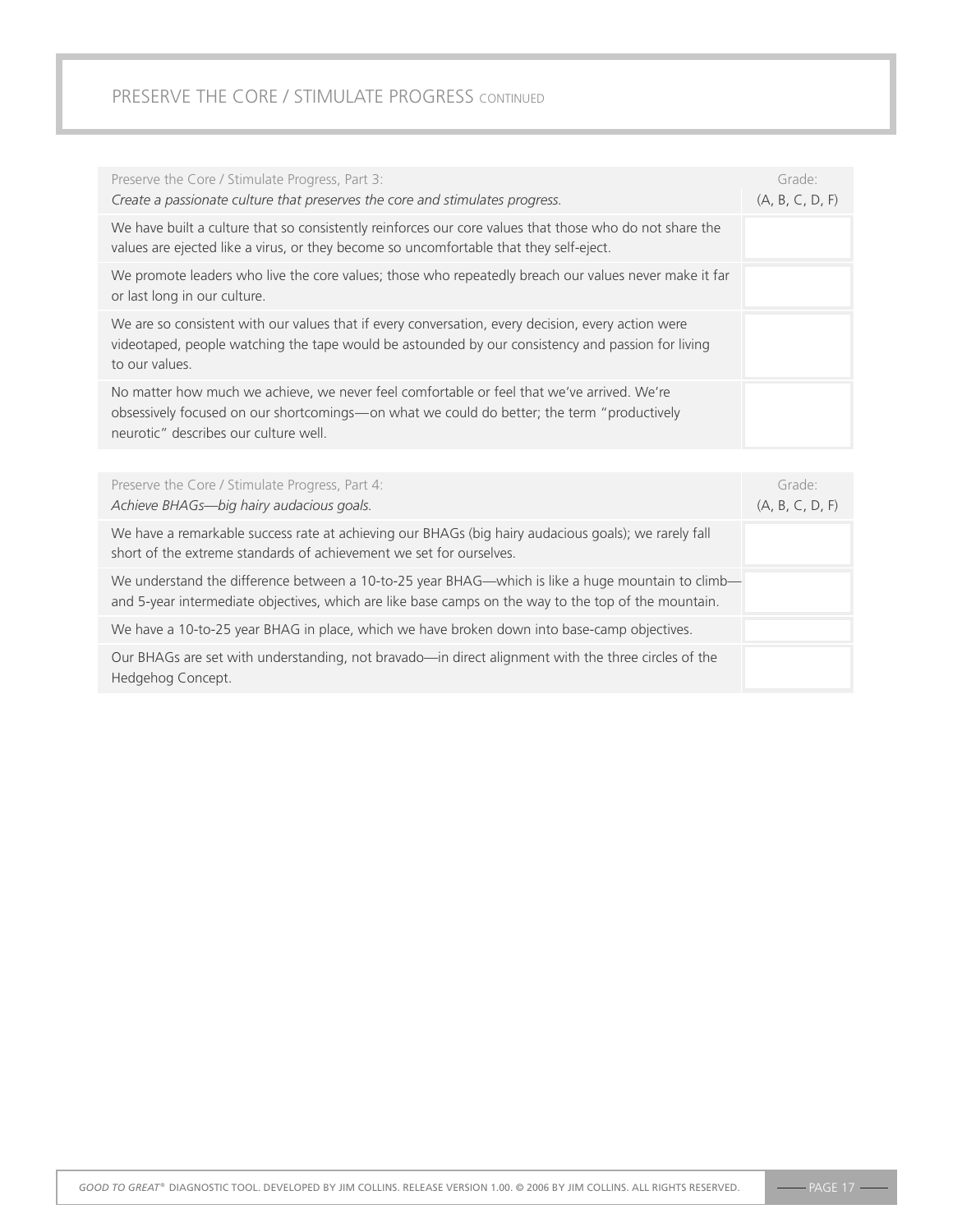## PRESERVE THE CORE / STIMULATE PROGRESS CONTINUED

| Preserve the Core / Stimulate Progress, Part 3:<br>Create a passionate culture that preserves the core and stimulates progress.                                                                                                   | Grade:<br>(A, B, C, D, F) |
|-----------------------------------------------------------------------------------------------------------------------------------------------------------------------------------------------------------------------------------|---------------------------|
| We have built a culture that so consistently reinforces our core values that those who do not share the<br>values are ejected like a virus, or they become so uncomfortable that they self-eject.                                 |                           |
| We promote leaders who live the core values; those who repeatedly breach our values never make it far<br>or last long in our culture.                                                                                             |                           |
| We are so consistent with our values that if every conversation, every decision, every action were<br>videotaped, people watching the tape would be astounded by our consistency and passion for living<br>to our values.         |                           |
| No matter how much we achieve, we never feel comfortable or feel that we've arrived. We're<br>obsessively focused on our shortcomings—on what we could do better; the term "productively<br>neurotic" describes our culture well. |                           |

| Preserve the Core / Stimulate Progress, Part 4:<br>Achieve BHAGs-big hairy audacious goals.                                                                                                               | Grade:<br>(A, B, C, D, F) |
|-----------------------------------------------------------------------------------------------------------------------------------------------------------------------------------------------------------|---------------------------|
| We have a remarkable success rate at achieving our BHAGs (big hairy audacious goals); we rarely fall<br>short of the extreme standards of achievement we set for ourselves.                               |                           |
| We understand the difference between a 10-to-25 year BHAG—which is like a huge mountain to climb—<br>and 5-year intermediate objectives, which are like base camps on the way to the top of the mountain. |                           |
| We have a 10-to-25 year BHAG in place, which we have broken down into base-camp objectives.                                                                                                               |                           |
| Our BHAGs are set with understanding, not bravado—in direct alignment with the three circles of the<br>Hedgehog Concept.                                                                                  |                           |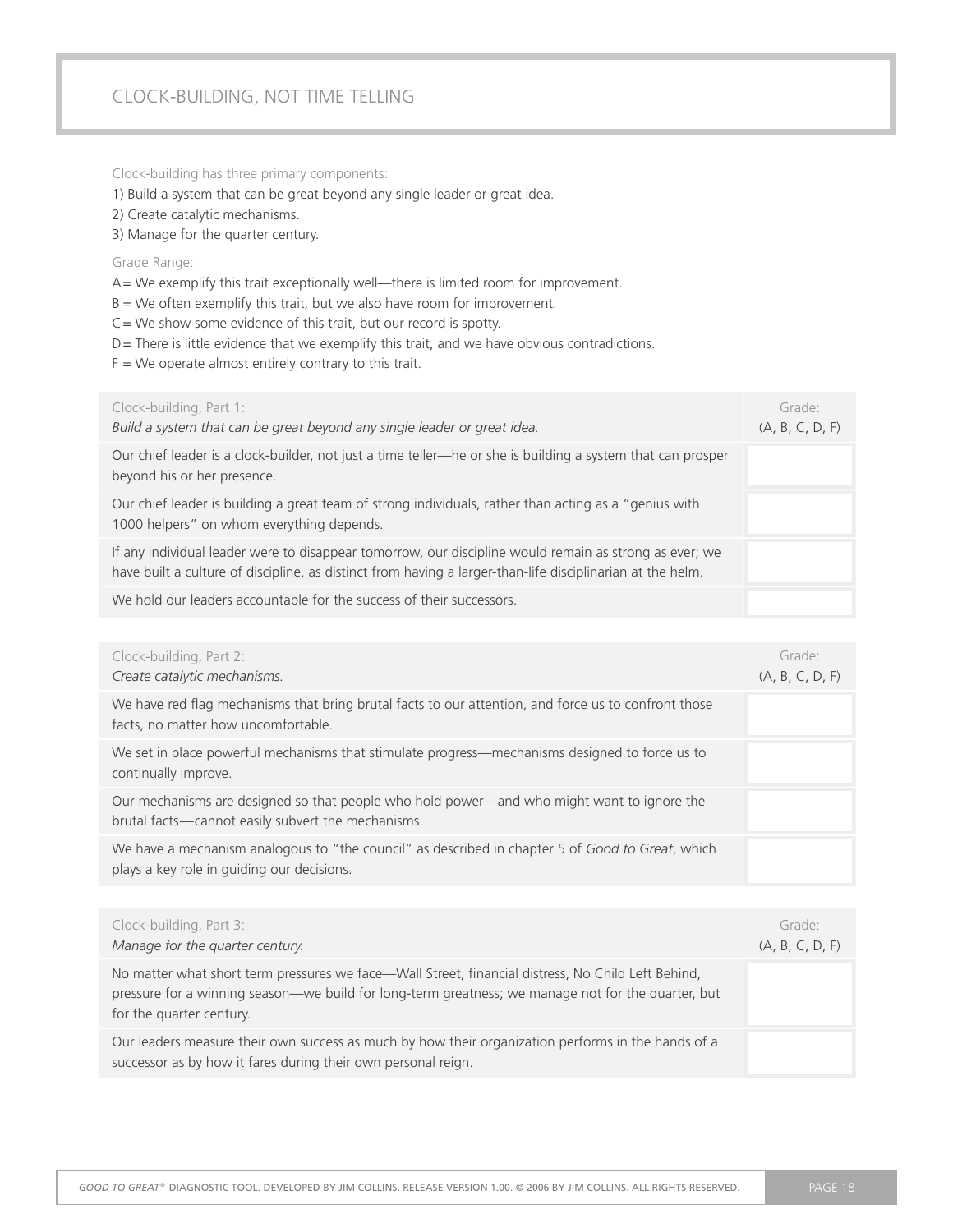Clock-building has three primary components:

1) Build a system that can be great beyond any single leader or great idea.

2) Create catalytic mechanisms.

3) Manage for the quarter century.

## Grade Range:

A = We exemplify this trait exceptionally well—there is limited room for improvement.

 $B =$  We often exemplify this trait, but we also have room for improvement.

 $C =$  We show some evidence of this trait, but our record is spotty.

D = There is little evidence that we exemplify this trait, and we have obvious contradictions.

| Clock-building, Part 1:<br>Build a system that can be great beyond any single leader or great idea.                                                                                                                  | Grade:<br>(A, B, C, D, F) |
|----------------------------------------------------------------------------------------------------------------------------------------------------------------------------------------------------------------------|---------------------------|
| Our chief leader is a clock-builder, not just a time teller—he or she is building a system that can prosper<br>beyond his or her presence.                                                                           |                           |
| Our chief leader is building a great team of strong individuals, rather than acting as a "genius with<br>1000 helpers" on whom everything depends.                                                                   |                           |
| If any individual leader were to disappear tomorrow, our discipline would remain as strong as ever; we<br>have built a culture of discipline, as distinct from having a larger-than-life disciplinarian at the helm. |                           |
| We hold our leaders accountable for the success of their successors.                                                                                                                                                 |                           |

| Clock-building, Part 2:<br>Create catalytic mechanisms.                                                                                          | Grade:<br>(A, B, C, D, F) |
|--------------------------------------------------------------------------------------------------------------------------------------------------|---------------------------|
| We have red flag mechanisms that bring brutal facts to our attention, and force us to confront those<br>facts, no matter how uncomfortable.      |                           |
| We set in place powerful mechanisms that stimulate progress—mechanisms designed to force us to<br>continually improve.                           |                           |
| Our mechanisms are designed so that people who hold power—and who might want to ignore the<br>brutal facts—cannot easily subvert the mechanisms. |                           |
| We have a mechanism analogous to "the council" as described in chapter 5 of Good to Great, which<br>plays a key role in guiding our decisions.   |                           |

| Clock-building, Part 3:<br>Manage for the quarter century.                                                                                                                                                                           | Grade:<br>(A, B, C, D, F) |
|--------------------------------------------------------------------------------------------------------------------------------------------------------------------------------------------------------------------------------------|---------------------------|
| No matter what short term pressures we face—Wall Street, financial distress, No Child Left Behind,<br>pressure for a winning season—we build for long-term greatness; we manage not for the quarter, but<br>for the quarter century. |                           |
| Our leaders measure their own success as much by how their organization performs in the hands of a<br>successor as by how it fares during their own personal reign.                                                                  |                           |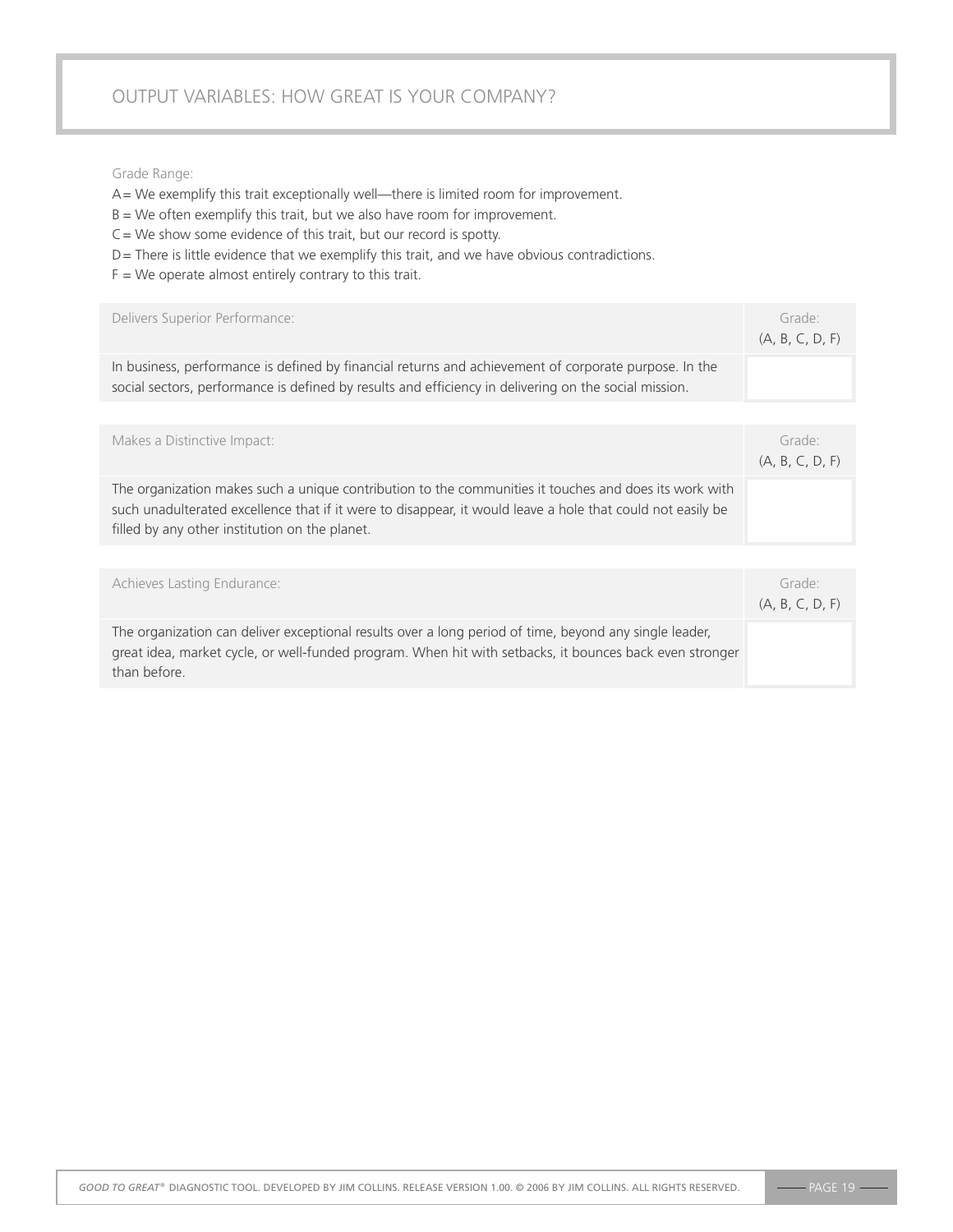Grade Range:

A = We exemplify this trait exceptionally well—there is limited room for improvement.

- $B =$  We often exemplify this trait, but we also have room for improvement.
- C = We show some evidence of this trait, but our record is spotty.
- D = There is little evidence that we exemplify this trait, and we have obvious contradictions.

| Delivers Superior Performance:                                                                                                                                                                                                                                         | Grade:<br>(A, B, C, D, F) |
|------------------------------------------------------------------------------------------------------------------------------------------------------------------------------------------------------------------------------------------------------------------------|---------------------------|
| In business, performance is defined by financial returns and achievement of corporate purpose. In the<br>social sectors, performance is defined by results and efficiency in delivering on the social mission.                                                         |                           |
|                                                                                                                                                                                                                                                                        |                           |
| Makes a Distinctive Impact:                                                                                                                                                                                                                                            | Grade:<br>(A, B, C, D, F) |
| The organization makes such a unique contribution to the communities it touches and does its work with<br>such unadulterated excellence that if it were to disappear, it would leave a hole that could not easily be<br>filled by any other institution on the planet. |                           |
|                                                                                                                                                                                                                                                                        |                           |
| Achieves Lasting Endurance:                                                                                                                                                                                                                                            | Grade:<br>(A, B, C, D, F) |
| The organization can deliver exceptional results over a long period of time, beyond any single leader,<br>great idea, market cycle, or well-funded program. When hit with setbacks, it bounces back even stronger<br>than before.                                      |                           |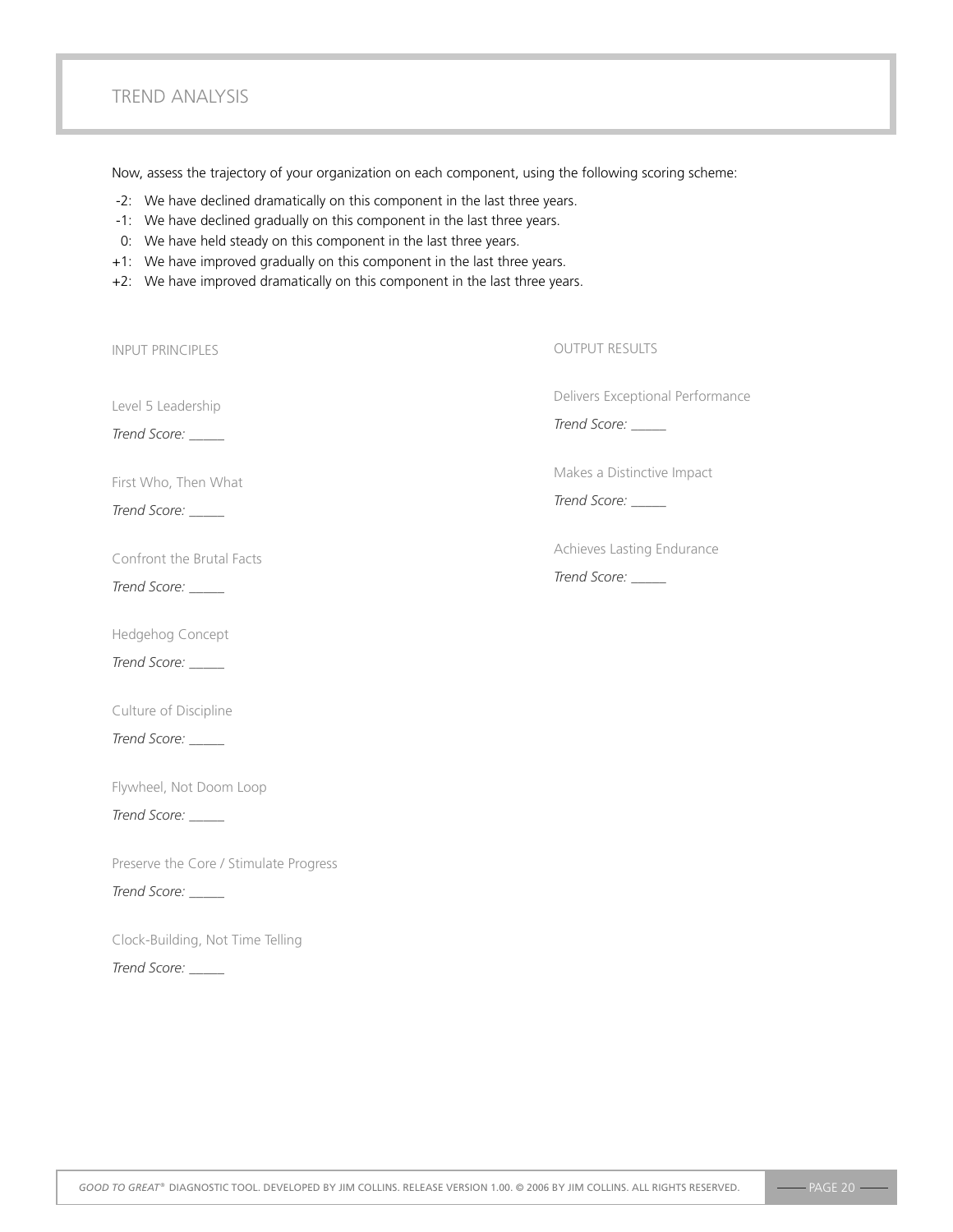Now, assess the trajectory of your organization on each component, using the following scoring scheme:

- -2: We have declined dramatically on this component in the last three years.
- -1: We have declined gradually on this component in the last three years.
- 0: We have held steady on this component in the last three years.
- +1: We have improved gradually on this component in the last three years.
- +2: We have improved dramatically on this component in the last three years.

| <b>INPUT PRINCIPLES</b>                                      | <b>OUTPUT RESULTS</b>                                  |
|--------------------------------------------------------------|--------------------------------------------------------|
| Level 5 Leadership<br>Trend Score: _____                     | Delivers Exceptional Performance<br>Trend Score: _____ |
| First Who, Then What<br>Trend Score: _____                   | Makes a Distinctive Impact<br>Trend Score: _____       |
| Confront the Brutal Facts<br>Trend Score: _____              | Achieves Lasting Endurance<br>Trend Score: _____       |
| Hedgehog Concept<br>Trend Score: _____                       |                                                        |
| Culture of Discipline<br>Trend Score: _____                  |                                                        |
| Flywheel, Not Doom Loop<br>Trend Score: _____                |                                                        |
| Preserve the Core / Stimulate Progress<br>Trend Score: _____ |                                                        |
| Clock-Building, Not Time Telling<br>Trend Score:             |                                                        |